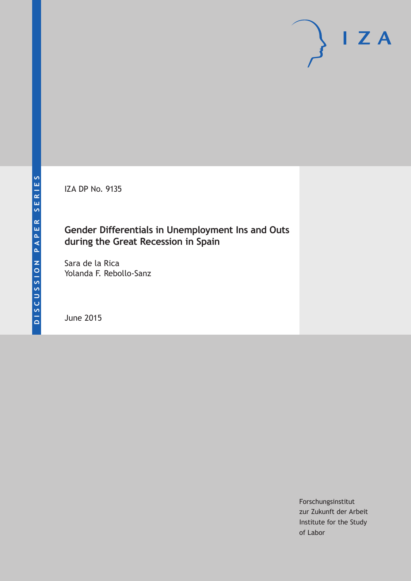IZA DP No. 9135

# **Gender Differentials in Unemployment Ins and Outs during the Great Recession in Spain**

Sara de la Rica Yolanda F. Rebollo‐Sanz

June 2015

Forschungsinstitut zur Zukunft der Arbeit Institute for the Study of Labor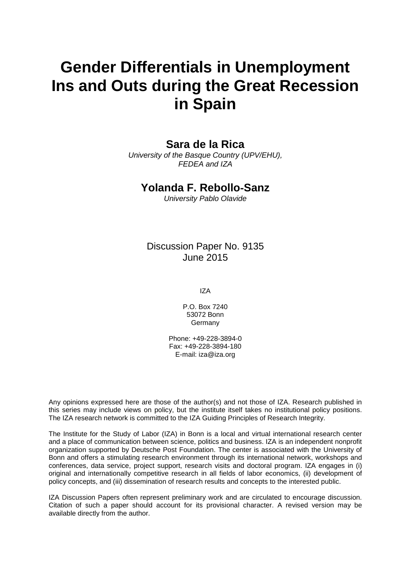# **Gender Differentials in Unemployment Ins and Outs during the Great Recession in Spain**

# **Sara de la Rica**

*University of the Basque Country (UPV/EHU), FEDEA and IZA*

## **Yolanda F. Rebollo**‐**Sanz**

*University Pablo Olavide*

# Discussion Paper No. 9135 June 2015

IZA

P.O. Box 7240 53072 Bonn Germany

Phone: +49-228-3894-0 Fax: +49-228-3894-180 E-mail: iza@iza.org

Any opinions expressed here are those of the author(s) and not those of IZA. Research published in this series may include views on policy, but the institute itself takes no institutional policy positions. The IZA research network is committed to the IZA Guiding Principles of Research Integrity.

The Institute for the Study of Labor (IZA) in Bonn is a local and virtual international research center and a place of communication between science, politics and business. IZA is an independent nonprofit organization supported by Deutsche Post Foundation. The center is associated with the University of Bonn and offers a stimulating research environment through its international network, workshops and conferences, data service, project support, research visits and doctoral program. IZA engages in (i) original and internationally competitive research in all fields of labor economics, (ii) development of policy concepts, and (iii) dissemination of research results and concepts to the interested public.

<span id="page-1-0"></span>IZA Discussion Papers often represent preliminary work and are circulated to encourage discussion. Citation of such a paper should account for its provisional character. A revised version may be available directly from the author.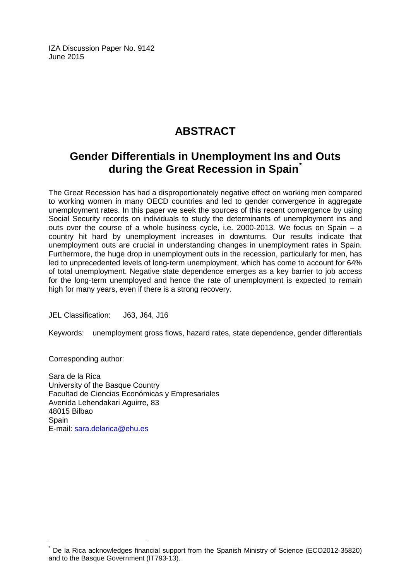IZA Discussion Paper No. 9142 June 2015

# **ABSTRACT**

# **Gender Differentials in Unemployment Ins and Outs during the Great Recession in Spain[\\*](#page-1-0)**

The Great Recession has had a disproportionately negative effect on working men compared to working women in many OECD countries and led to gender convergence in aggregate unemployment rates. In this paper we seek the sources of this recent convergence by using Social Security records on individuals to study the determinants of unemployment ins and outs over the course of a whole business cycle, i.e. 2000‐2013. We focus on Spain – a country hit hard by unemployment increases in downturns. Our results indicate that unemployment outs are crucial in understanding changes in unemployment rates in Spain. Furthermore, the huge drop in unemployment outs in the recession, particularly for men, has led to unprecedented levels of long-term unemployment, which has come to account for 64% of total unemployment. Negative state dependence emerges as a key barrier to job access for the long-term unemployed and hence the rate of unemployment is expected to remain high for many years, even if there is a strong recovery.

JEL Classification: J63, J64, J16

Keywords: unemployment gross flows, hazard rates, state dependence, gender differentials

Corresponding author:

Sara de la Rica University of the Basque Country Facultad de Ciencias Económicas y Empresariales Avenida Lehendakari Aguirre, 83 48015 Bilbao **Spain** E-mail: [sara.delarica@ehu.es](mailto:sara.delarica@ehu.es)

De la Rica acknowledges financial support from the Spanish Ministry of Science (ECO2012-35820) and to the Basque Government (IT793‐13).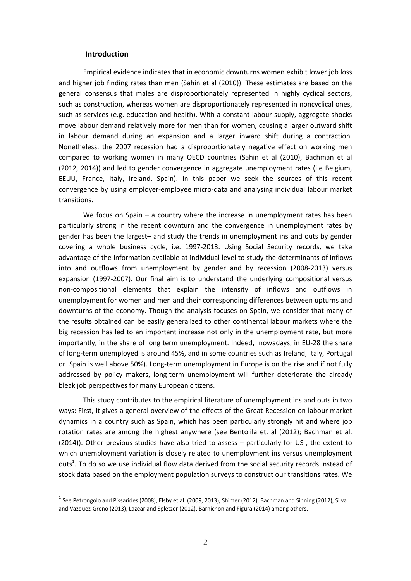#### **Introduction**

1

Empirical evidence indicates that in economic downturns women exhibit lower job loss and higher job finding rates than men (Sahin et al (2010)). These estimates are based on the general consensus that males are disproportionately represented in highly cyclical sectors, such as construction, whereas women are disproportionately represented in noncyclical ones, such as services (e.g. education and health). With a constant labour supply, aggregate shocks move labour demand relatively more for men than for women, causing a larger outward shift in labour demand during an expansion and a larger inward shift during a contraction. Nonetheless, the 2007 recession had a disproportionately negative effect on working men compared to working women in many OECD countries (Sahin et al (2010), Bachman et al (2012, 2014)) and led to gender convergence in aggregate unemployment rates (i.e Belgium, EEUU, France, Italy, Ireland, Spain). In this paper we seek the sources of this recent convergence by using employer‐employee micro‐data and analysing individual labour market transitions.

We focus on Spain – a country where the increase in unemployment rates has been particularly strong in the recent downturn and the convergence in unemployment rates by gender has been the largest– and study the trends in unemployment ins and outs by gender covering a whole business cycle, i.e. 1997‐2013. Using Social Security records, we take advantage of the information available at individual level to study the determinants of inflows into and outflows from unemployment by gender and by recession (2008-2013) versus expansion (1997-2007). Our final aim is to understand the underlying compositional versus non‐compositional elements that explain the intensity of inflows and outflows in unemployment for women and men and their corresponding differences between upturns and downturns of the economy. Though the analysis focuses on Spain, we consider that many of the results obtained can be easily generalized to other continental labour markets where the big recession has led to an important increase not only in the unemployment rate, but more importantly, in the share of long term unemployment. Indeed, nowadays, in EU‐28 the share of long-term unemployed is around 45%, and in some countries such as Ireland, Italy, Portugal or Spain is well above 50%). Long‐term unemployment in Europe is on the rise and if not fully addressed by policy makers, long-term unemployment will further deteriorate the already bleak job perspectives for many European citizens.

This study contributes to the empirical literature of unemployment ins and outs in two ways: First, it gives a general overview of the effects of the Great Recession on labour market dynamics in a country such as Spain, which has been particularly strongly hit and where job rotation rates are among the highest anywhere (see Bentolila et. al (2012); Bachman et al. (2014)). Other previous studies have also tried to assess – particularly for US‐, the extent to which unemployment variation is closely related to unemployment ins versus unemployment outs<sup>1</sup>. To do so we use individual flow data derived from the social security records instead of stock data based on the employment population surveys to construct our transitions rates. We

 $<sup>1</sup>$  See Petrongolo and Pissarides (2008), Elsby et al. (2009, 2013), Shimer (2012), Bachman and Sinning (2012), Silva</sup> and Vazquez‐Greno (2013), Lazear and Spletzer (2012), Barnichon and Figura (2014) among others.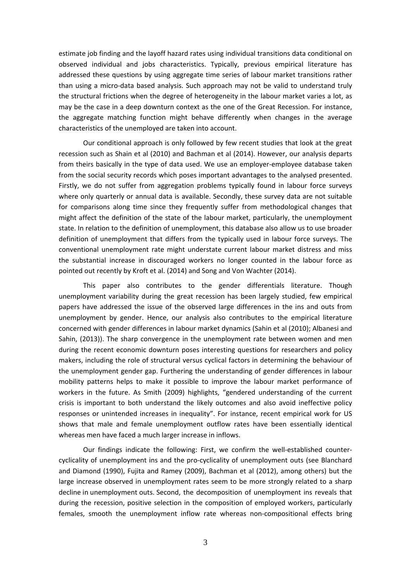estimate job finding and the layoff hazard rates using individual transitions data conditional on observed individual and jobs characteristics. Typically, previous empirical literature has addressed these questions by using aggregate time series of labour market transitions rather than using a micro‐data based analysis. Such approach may not be valid to understand truly the structural frictions when the degree of heterogeneity in the labour market varies a lot, as may be the case in a deep downturn context as the one of the Great Recession. For instance, the aggregate matching function might behave differently when changes in the average characteristics of the unemployed are taken into account.

Our conditional approach is only followed by few recent studies that look at the great recession such as Shain et al (2010) and Bachman et al (2014). However, our analysis departs from theirs basically in the type of data used. We use an employer-employee database taken from the social security records which poses important advantages to the analysed presented. Firstly, we do not suffer from aggregation problems typically found in labour force surveys where only quarterly or annual data is available. Secondly, these survey data are not suitable for comparisons along time since they frequently suffer from methodological changes that might affect the definition of the state of the labour market, particularly, the unemployment state. In relation to the definition of unemployment, this database also allow us to use broader definition of unemployment that differs from the typically used in labour force surveys. The conventional unemployment rate might understate current labour market distress and miss the substantial increase in discouraged workers no longer counted in the labour force as pointed out recently by Kroft et al. (2014) and Song and Von Wachter (2014).

This paper also contributes to the gender differentials literature. Though unemployment variability during the great recession has been largely studied, few empirical papers have addressed the issue of the observed large differences in the ins and outs from unemployment by gender. Hence, our analysis also contributes to the empirical literature concerned with gender differences in labour market dynamics (Sahin et al (2010); Albanesi and Sahin, (2013)). The sharp convergence in the unemployment rate between women and men during the recent economic downturn poses interesting questions for researchers and policy makers, including the role of structural versus cyclical factors in determining the behaviour of the unemployment gender gap. Furthering the understanding of gender differences in labour mobility patterns helps to make it possible to improve the labour market performance of workers in the future. As Smith (2009) highlights, "gendered understanding of the current crisis is important to both understand the likely outcomes and also avoid ineffective policy responses or unintended increases in inequality". For instance, recent empirical work for US shows that male and female unemployment outflow rates have been essentially identical whereas men have faced a much larger increase in inflows.

Our findings indicate the following: First, we confirm the well‐established counter‐ cyclicality of unemployment ins and the pro‐cyclicality of unemployment outs (see Blanchard and Diamond (1990), Fujita and Ramey (2009), Bachman et al (2012), among others) but the large increase observed in unemployment rates seem to be more strongly related to a sharp decline in unemployment outs. Second, the decomposition of unemployment ins reveals that during the recession, positive selection in the composition of employed workers, particularly females, smooth the unemployment inflow rate whereas non-compositional effects bring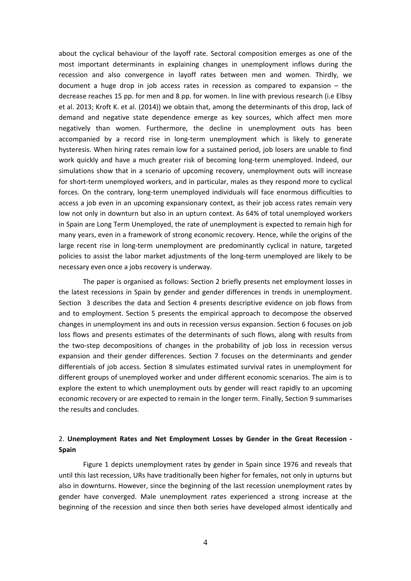about the cyclical behaviour of the layoff rate. Sectoral composition emerges as one of the most important determinants in explaining changes in unemployment inflows during the recession and also convergence in layoff rates between men and women. Thirdly, we document a huge drop in job access rates in recession as compared to expansion – the decrease reaches 15 pp. for men and 8 pp. for women. In line with previous research (i.e Elbsy et al. 2013; Kroft K. et al. (2014)) we obtain that, among the determinants of this drop, lack of demand and negative state dependence emerge as key sources, which affect men more negatively than women. Furthermore, the decline in unemployment outs has been accompanied by a record rise in long-term unemployment which is likely to generate hysteresis. When hiring rates remain low for a sustained period, job losers are unable to find work quickly and have a much greater risk of becoming long-term unemployed. Indeed, our simulations show that in a scenario of upcoming recovery, unemployment outs will increase for short-term unemployed workers, and in particular, males as they respond more to cyclical forces. On the contrary, long-term unemployed individuals will face enormous difficulties to access a job even in an upcoming expansionary context, as their job access rates remain very low not only in downturn but also in an upturn context. As 64% of total unemployed workers in Spain are Long Term Unemployed, the rate of unemployment is expected to remain high for many years, even in a framework of strong economic recovery. Hence, while the origins of the large recent rise in long-term unemployment are predominantly cyclical in nature, targeted policies to assist the labor market adjustments of the long‐term unemployed are likely to be necessary even once a jobs recovery is underway.

The paper is organised as follows: Section 2 briefly presents net employment losses in the latest recessions in Spain by gender and gender differences in trends in unemployment. Section 3 describes the data and Section 4 presents descriptive evidence on job flows from and to employment. Section 5 presents the empirical approach to decompose the observed changes in unemployment ins and outs in recession versus expansion. Section 6 focuses on job loss flows and presents estimates of the determinants of such flows, along with results from the two‐step decompositions of changes in the probability of job loss in recession versus expansion and their gender differences. Section 7 focuses on the determinants and gender differentials of job access. Section 8 simulates estimated survival rates in unemployment for different groups of unemployed worker and under different economic scenarios. The aim is to explore the extent to which unemployment outs by gender will react rapidly to an upcoming economic recovery or are expected to remain in the longer term. Finally, Section 9 summarises the results and concludes.

#### 2. **Unemployment Rates and Net Employment Losses by Gender in the Great Recession ‐ Spain**

Figure 1 depicts unemployment rates by gender in Spain since 1976 and reveals that until this last recession, URs have traditionally been higher for females, not only in upturns but also in downturns. However, since the beginning of the last recession unemployment rates by gender have converged. Male unemployment rates experienced a strong increase at the beginning of the recession and since then both series have developed almost identically and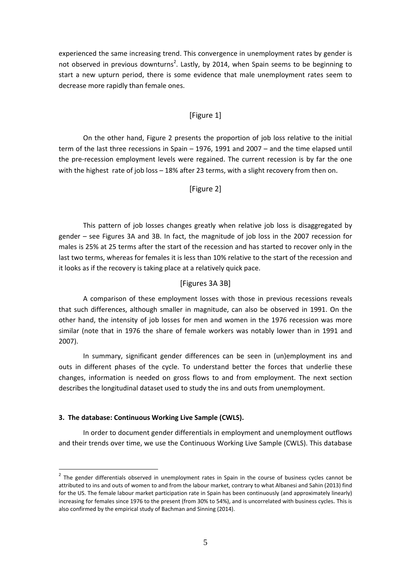experienced the same increasing trend. This convergence in unemployment rates by gender is not observed in previous downturns<sup>2</sup>. Lastly, by 2014, when Spain seems to be beginning to start a new upturn period, there is some evidence that male unemployment rates seem to decrease more rapidly than female ones.

#### [Figure 1]

On the other hand, Figure 2 presents the proportion of job loss relative to the initial term of the last three recessions in Spain – 1976, 1991 and 2007 – and the time elapsed until the pre-recession employment levels were regained. The current recession is by far the one with the highest rate of job loss - 18% after 23 terms, with a slight recovery from then on.

#### [Figure 2]

This pattern of job losses changes greatly when relative job loss is disaggregated by gender – see Figures 3A and 3B. In fact, the magnitude of job loss in the 2007 recession for males is 25% at 25 terms after the start of the recession and has started to recover only in the last two terms, whereas for females it is less than 10% relative to the start of the recession and it looks as if the recovery is taking place at a relatively quick pace.

#### [Figures 3A 3B]

A comparison of these employment losses with those in previous recessions reveals that such differences, although smaller in magnitude, can also be observed in 1991. On the other hand, the intensity of job losses for men and women in the 1976 recession was more similar (note that in 1976 the share of female workers was notably lower than in 1991 and 2007).

In summary, significant gender differences can be seen in (un)employment ins and outs in different phases of the cycle. To understand better the forces that underlie these changes, information is needed on gross flows to and from employment. The next section describes the longitudinal dataset used to study the ins and outs from unemployment.

#### **3. The database: Continuous Working Live Sample (CWLS).**

1

In order to document gender differentials in employment and unemployment outflows and their trends over time, we use the Continuous Working Live Sample (CWLS). This database

 $2$  The gender differentials observed in unemployment rates in Spain in the course of business cycles cannot be attributed to ins and outs of women to and from the labour market, contrary to what Albanesi and Sahin (2013) find for the US. The female labour market participation rate in Spain has been continuously (and approximately linearly) increasing for females since 1976 to the present (from 30% to 54%), and is uncorrelated with business cycles. This is also confirmed by the empirical study of Bachman and Sinning (2014).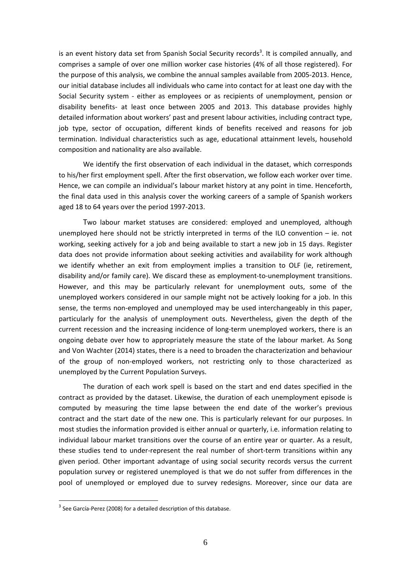is an event history data set from Spanish Social Security records<sup>3</sup>. It is compiled annually, and comprises a sample of over one million worker case histories (4% of all those registered). For the purpose of this analysis, we combine the annual samples available from 2005‐2013. Hence, our initial database includes all individuals who came into contact for at least one day with the Social Security system - either as employees or as recipients of unemployment, pension or disability benefits‐ at least once between 2005 and 2013. This database provides highly detailed information about workers' past and present labour activities, including contract type, job type, sector of occupation, different kinds of benefits received and reasons for job termination. Individual characteristics such as age, educational attainment levels, household composition and nationality are also available.

We identify the first observation of each individual in the dataset, which corresponds to his/her first employment spell. After the first observation, we follow each worker over time. Hence, we can compile an individual's labour market history at any point in time. Henceforth, the final data used in this analysis cover the working careers of a sample of Spanish workers aged 18 to 64 years over the period 1997‐2013.

Two labour market statuses are considered: employed and unemployed, although unemployed here should not be strictly interpreted in terms of the ILO convention – ie. not working, seeking actively for a job and being available to start a new job in 15 days. Register data does not provide information about seeking activities and availability for work although we identify whether an exit from employment implies a transition to OLF (ie, retirement, disability and/or family care). We discard these as employment-to-unemployment transitions. However, and this may be particularly relevant for unemployment outs, some of the unemployed workers considered in our sample might not be actively looking for a job. In this sense, the terms non-employed and unemployed may be used interchangeably in this paper, particularly for the analysis of unemployment outs. Nevertheless, given the depth of the current recession and the increasing incidence of long-term unemployed workers, there is an ongoing debate over how to appropriately measure the state of the labour market. As Song and Von Wachter (2014) states, there is a need to broaden the characterization and behaviour of the group of non-employed workers, not restricting only to those characterized as unemployed by the Current Population Surveys.

The duration of each work spell is based on the start and end dates specified in the contract as provided by the dataset. Likewise, the duration of each unemployment episode is computed by measuring the time lapse between the end date of the worker's previous contract and the start date of the new one. This is particularly relevant for our purposes. In most studies the information provided is either annual or quarterly, i.e. information relating to individual labour market transitions over the course of an entire year or quarter. As a result, these studies tend to under‐represent the real number of short‐term transitions within any given period. Other important advantage of using social security records versus the current population survey or registered unemployed is that we do not suffer from differences in the pool of unemployed or employed due to survey redesigns. Moreover, since our data are

 $3$  See García-Perez (2008) for a detailed description of this database.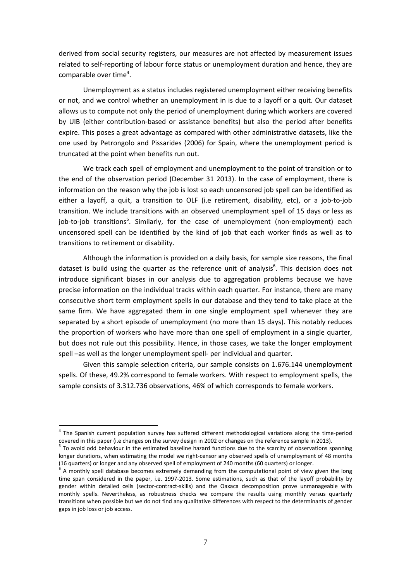derived from social security registers, our measures are not affected by measurement issues related to self-reporting of labour force status or unemployment duration and hence, they are comparable over time<sup>4</sup>.

Unemployment as a status includes registered unemployment either receiving benefits or not, and we control whether an unemployment in is due to a layoff or a quit. Our dataset allows us to compute not only the period of unemployment during which workers are covered by UIB (either contribution‐based or assistance benefits) but also the period after benefits expire. This poses a great advantage as compared with other administrative datasets, like the one used by Petrongolo and Pissarides (2006) for Spain, where the unemployment period is truncated at the point when benefits run out.

We track each spell of employment and unemployment to the point of transition or to the end of the observation period (December 31 2013). In the case of employment, there is information on the reason why the job is lost so each uncensored job spell can be identified as either a layoff, a quit, a transition to OLF (i.e retirement, disability, etc), or a job-to-job transition. We include transitions with an observed unemployment spell of 15 days or less as job-to-job transitions<sup>5</sup>. Similarly, for the case of unemployment (non-employment) each uncensored spell can be identified by the kind of job that each worker finds as well as to transitions to retirement or disability.

Although the information is provided on a daily basis, for sample size reasons, the final dataset is build using the quarter as the reference unit of analysis<sup>6</sup>. This decision does not introduce significant biases in our analysis due to aggregation problems because we have precise information on the individual tracks within each quarter. For instance, there are many consecutive short term employment spells in our database and they tend to take place at the same firm. We have aggregated them in one single employment spell whenever they are separated by a short episode of unemployment (no more than 15 days). This notably reduces the proportion of workers who have more than one spell of employment in a single quarter, but does not rule out this possibility. Hence, in those cases, we take the longer employment spell –as well as the longer unemployment spell‐ per individual and quarter.

Given this sample selection criteria, our sample consists on 1.676.144 unemployment spells. Of these, 49.2% correspond to female workers. With respect to employment spells, the sample consists of 3.312.736 observations, 46% of which corresponds to female workers.

<sup>&</sup>lt;sup>4</sup> The Spanish current population survey has suffered different methodological variations along the time-period covered in this paper (i.e changes on the survey design in 2002 or changes on the reference sample in 2013).<br><sup>5</sup> To avoid odd behaviour in the estimated baseline hazard functions due to the scarcity of observations spannin

longer durations, when estimating the model we right-censor any observed spells of unemployment of 48 months (16 quarters) or longer and any observed spell of employment of 240 months (60 quarters) or longer.

A monthly spell database becomes extremely demanding from the computational point of view given the long time span considered in the paper, i.e. 1997‐2013. Some estimations, such as that of the layoff probability by gender within detailed cells (sector-contract-skills) and the Oaxaca decomposition prove unmanageable with monthly spells. Nevertheless, as robustness checks we compare the results using monthly versus quarterly transitions when possible but we do not find any qualitative differences with respect to the determinants of gender gaps in job loss or job access.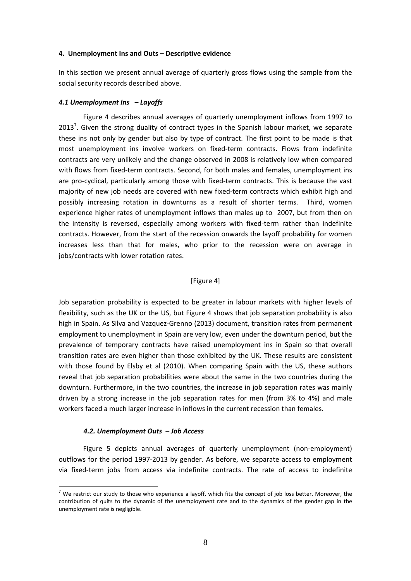#### **4. Unemployment Ins and Outs – Descriptive evidence**

In this section we present annual average of quarterly gross flows using the sample from the social security records described above.

#### *4.1 Unemployment Ins – Layoffs*

Figure 4 describes annual averages of quarterly unemployment inflows from 1997 to 2013<sup>7</sup>. Given the strong duality of contract types in the Spanish labour market, we separate these ins not only by gender but also by type of contract. The first point to be made is that most unemployment ins involve workers on fixed-term contracts. Flows from indefinite contracts are very unlikely and the change observed in 2008 is relatively low when compared with flows from fixed-term contracts. Second, for both males and females, unemployment ins are pro-cyclical, particularly among those with fixed-term contracts. This is because the vast majority of new job needs are covered with new fixed-term contracts which exhibit high and possibly increasing rotation in downturns as a result of shorter terms. Third, women experience higher rates of unemployment inflows than males up to 2007, but from then on the intensity is reversed, especially among workers with fixed-term rather than indefinite contracts. However, from the start of the recession onwards the layoff probability for women increases less than that for males, who prior to the recession were on average in jobs/contracts with lower rotation rates.

#### [Figure 4]

Job separation probability is expected to be greater in labour markets with higher levels of flexibility, such as the UK or the US, but Figure 4 shows that job separation probability is also high in Spain. As Silva and Vazquez-Grenno (2013) document, transition rates from permanent employment to unemployment in Spain are very low, even under the downturn period, but the prevalence of temporary contracts have raised unemployment ins in Spain so that overall transition rates are even higher than those exhibited by the UK. These results are consistent with those found by Elsby et al (2010). When comparing Spain with the US, these authors reveal that job separation probabilities were about the same in the two countries during the downturn. Furthermore, in the two countries, the increase in job separation rates was mainly driven by a strong increase in the job separation rates for men (from 3% to 4%) and male workers faced a much larger increase in inflows in the current recession than females.

#### *4.2. Unemployment Outs – Job Access*

<u>.</u>

Figure 5 depicts annual averages of quarterly unemployment (non-employment) outflows for the period 1997‐2013 by gender. As before, we separate access to employment via fixed-term jobs from access via indefinite contracts. The rate of access to indefinite

 $<sup>7</sup>$  We restrict our study to those who experience a layoff, which fits the concept of job loss better. Moreover, the</sup> contribution of quits to the dynamic of the unemployment rate and to the dynamics of the gender gap in the unemployment rate is negligible.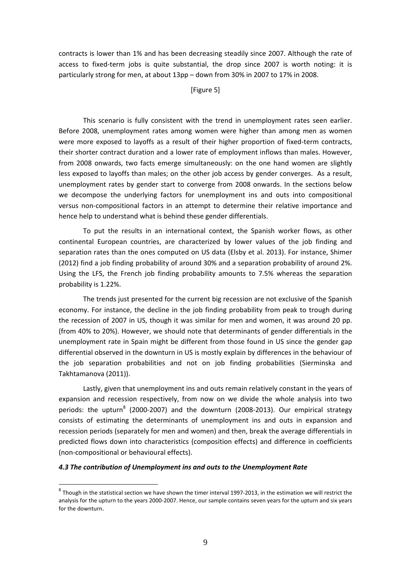contracts is lower than 1% and has been decreasing steadily since 2007. Although the rate of access to fixed-term jobs is quite substantial, the drop since 2007 is worth noting: it is particularly strong for men, at about 13pp – down from 30% in 2007 to 17% in 2008.

#### [Figure 5]

This scenario is fully consistent with the trend in unemployment rates seen earlier. Before 2008, unemployment rates among women were higher than among men as women were more exposed to layoffs as a result of their higher proportion of fixed-term contracts, their shorter contract duration and a lower rate of employment inflows than males. However, from 2008 onwards, two facts emerge simultaneously: on the one hand women are slightly less exposed to layoffs than males; on the other job access by gender converges. As a result, unemployment rates by gender start to converge from 2008 onwards. In the sections below we decompose the underlying factors for unemployment ins and outs into compositional versus non‐compositional factors in an attempt to determine their relative importance and hence help to understand what is behind these gender differentials.

To put the results in an international context, the Spanish worker flows, as other continental European countries, are characterized by lower values of the job finding and separation rates than the ones computed on US data (Elsby et al. 2013). For instance, Shimer (2012) find a job finding probability of around 30% and a separation probability of around 2%. Using the LFS, the French job finding probability amounts to 7.5% whereas the separation probability is 1.22%.

The trends just presented for the current big recession are not exclusive of the Spanish economy. For instance, the decline in the job finding probability from peak to trough during the recession of 2007 in US, though it was similar for men and women, it was around 20 pp. (from 40% to 20%). However, we should note that determinants of gender differentials in the unemployment rate in Spain might be different from those found in US since the gender gap differential observed in the downturn in US is mostly explain by differences in the behaviour of the job separation probabilities and not on job finding probabilities (Sierminska and Takhtamanova (2011)).

Lastly, given that unemployment ins and outs remain relatively constant in the years of expansion and recession respectively, from now on we divide the whole analysis into two periods: the upturn<sup>8</sup> (2000-2007) and the downturn (2008-2013). Our empirical strategy consists of estimating the determinants of unemployment ins and outs in expansion and recession periods (separately for men and women) and then, break the average differentials in predicted flows down into characteristics (composition effects) and difference in coefficients (non‐compositional or behavioural effects).

#### *4.3 The contribution of Unemployment ins and outs to the Unemployment Rate*

 $8$  Though in the statistical section we have shown the timer interval 1997-2013, in the estimation we will restrict the analysis for the upturn to the years 2000‐2007. Hence, our sample contains seven years for the upturn and six years for the downturn.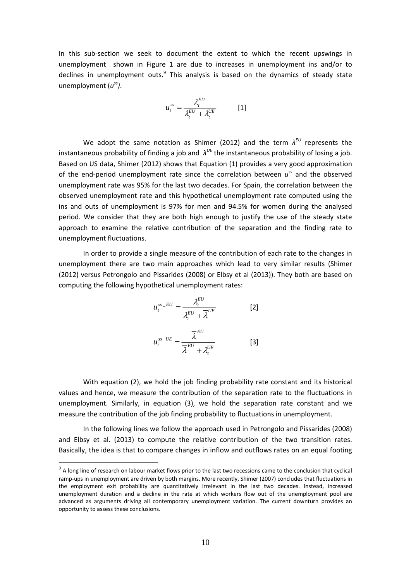In this sub-section we seek to document the extent to which the recent upswings in unemployment shown in Figure 1 are due to increases in unemployment ins and/or to declines in unemployment outs. $9$  This analysis is based on the dynamics of steady state unemployment (*uss)*.

$$
u_t^{ss} = \frac{\lambda_t^{EU}}{\lambda_t^{EU} + \lambda_t^{UE}}
$$
 [1]

We adopt the same notation as Shimer (2012) and the term *λEU* represents the instantaneous probability of finding a job and  $\lambda^{UE}$  the instantaneous probability of losing a job. Based on US data, Shimer (2012) shows that Equation (1) provides a very good approximation of the end‐period unemployment rate since the correlation between *uss* and the observed unemployment rate was 95% for the last two decades. For Spain, the correlation between the observed unemployment rate and this hypothetical unemployment rate computed using the ins and outs of unemployment is 97% for men and 94.5% for women during the analysed period. We consider that they are both high enough to justify the use of the steady state approach to examine the relative contribution of the separation and the finding rate to unemployment fluctuations.

In order to provide a single measure of the contribution of each rate to the changes in unemployment there are two main approaches which lead to very similar results (Shimer (2012) versus Petrongolo and Pissarides (2008) or Elbsy et al (2013)). They both are based on computing the following hypothetical unemployment rates:

$$
u_t^{ss\_EU} = \frac{\lambda_t^{EU}}{\lambda_t^{EU} + \overline{\lambda}^{UE}}
$$
 [2]  

$$
u_t^{ss\_UE} = \frac{\overline{\lambda}^{EU}}{\overline{\lambda}^{EU} + \lambda_t^{UE}}
$$
 [3]

With equation (2), we hold the job finding probability rate constant and its historical values and hence, we measure the contribution of the separation rate to the fluctuations in unemployment. Similarly, in equation (3), we hold the separation rate constant and we measure the contribution of the job finding probability to fluctuations in unemployment.

In the following lines we follow the approach used in Petrongolo and Pissarides (2008) and Elbsy et al. (2013) to compute the relative contribution of the two transition rates. Basically, the idea is that to compare changes in inflow and outflows rates on an equal footing

 $9$  A long line of research on labour market flows prior to the last two recessions came to the conclusion that cyclical ramp-ups in unemployment are driven by both margins. More recently, Shimer (2007) concludes that fluctuations in the employment exit probability are quantitatively irrelevant in the last two decades. Instead, increased unemployment duration and a decline in the rate at which workers flow out of the unemployment pool are advanced as arguments driving all contemporary unemployment variation. The current downturn provides an opportunity to assess these conclusions.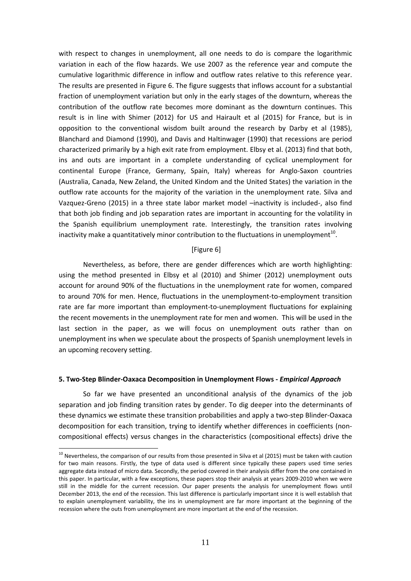with respect to changes in unemployment, all one needs to do is compare the logarithmic variation in each of the flow hazards. We use 2007 as the reference year and compute the cumulative logarithmic difference in inflow and outflow rates relative to this reference year. The results are presented in Figure 6. The figure suggests that inflows account for a substantial fraction of unemployment variation but only in the early stages of the downturn, whereas the contribution of the outflow rate becomes more dominant as the downturn continues. This result is in line with Shimer (2012) for US and Hairault et al (2015) for France, but is in opposition to the conventional wisdom built around the research by Darby et al (1985), Blanchard and Diamond (1990), and Davis and Haltinwager (1990) that recessions are period characterized primarily by a high exit rate from employment. Elbsy et al. (2013) find that both, ins and outs are important in a complete understanding of cyclical unemployment for continental Europe (France, Germany, Spain, Italy) whereas for Anglo‐Saxon countries (Australia, Canada, New Zeland, the United Kindom and the United States) the variation in the outflow rate accounts for the majority of the variation in the unemployment rate. Silva and Vazquez‐Greno (2015) in a three state labor market model –inactivity is included‐, also find that both job finding and job separation rates are important in accounting for the volatility in the Spanish equilibrium unemployment rate. Interestingly, the transition rates involving inactivity make a quantitatively minor contribution to the fluctuations in unemployment<sup>10</sup>.

#### [Figure 6]

Nevertheless, as before, there are gender differences which are worth highlighting: using the method presented in Elbsy et al (2010) and Shimer (2012) unemployment outs account for around 90% of the fluctuations in the unemployment rate for women, compared to around 70% for men. Hence, fluctuations in the unemployment-to-employment transition rate are far more important than employment-to-unemployment fluctuations for explaining the recent movements in the unemployment rate for men and women. This will be used in the last section in the paper, as we will focus on unemployment outs rather than on unemployment ins when we speculate about the prospects of Spanish unemployment levels in an upcoming recovery setting.

#### **5. Two‐Step Blinder‐Oaxaca Decomposition in Unemployment Flows ‐** *Empirical Approach*

So far we have presented an unconditional analysis of the dynamics of the job separation and job finding transition rates by gender. To dig deeper into the determinants of these dynamics we estimate these transition probabilities and apply a two‐step Blinder‐Oaxaca decomposition for each transition, trying to identify whether differences in coefficients (non‐ compositional effects) versus changes in the characteristics (compositional effects) drive the

 $10$  Nevertheless, the comparison of our results from those presented in Silva et al (2015) must be taken with caution for two main reasons. Firstly, the type of data used is different since typically these papers used time series aggregate data instead of micro data. Secondly, the period covered in their analysis differ from the one contained in this paper. In particular, with a few exceptions, these papers stop their analysis at years 2009-2010 when we were still in the middle for the current recession. Our paper presents the analysis for unemployment flows until December 2013, the end of the recession. This last difference is particularly important since it is well establish that to explain unemployment variability, the ins in unemployment are far more important at the beginning of the recession where the outs from unemployment are more important at the end of the recession.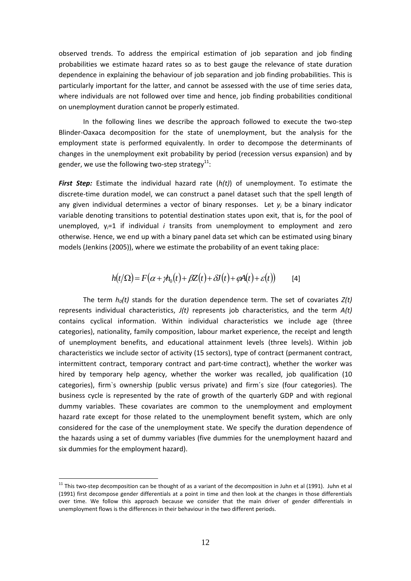observed trends. To address the empirical estimation of job separation and job finding probabilities we estimate hazard rates so as to best gauge the relevance of state duration dependence in explaining the behaviour of job separation and job finding probabilities. This is particularly important for the latter, and cannot be assessed with the use of time series data, where individuals are not followed over time and hence, job finding probabilities conditional on unemployment duration cannot be properly estimated.

In the following lines we describe the approach followed to execute the two‐step Blinder‐Oaxaca decomposition for the state of unemployment, but the analysis for the employment state is performed equivalently. In order to decompose the determinants of changes in the unemployment exit probability by period (recession versus expansion) and by gender, we use the following two-step strategy $^{11}$ :

*First Step:* Estimate the individual hazard rate (*h(t)*) of unemployment. To estimate the discrete‐time duration model, we can construct a panel dataset such that the spell length of any given individual determines a vector of binary responses. Let *yi* be a binary indicator variable denoting transitions to potential destination states upon exit, that is, for the pool of unemployed, y*i*=1 if individual *i* transits from unemployment to employment and zero otherwise. Hence, we end up with a binary panel data set which can be estimated using binary models (Jenkins (2005)), where we estimate the probability of an event taking place:

$$
h(t/\Omega) = F(\alpha + \gamma h_0(t) + \beta Z(t) + \delta J(t) + \varphi A(t) + \varepsilon(t))
$$
 [4]

The term  $h_0(t)$  stands for the duration dependence term. The set of covariates  $Z(t)$ represents individual characteristics, *J(t)* represents job characteristics, and the term *A(t)* contains cyclical information. Within individual characteristics we include age (three categories), nationality, family composition, labour market experience, the receipt and length of unemployment benefits, and educational attainment levels (three levels). Within job characteristics we include sector of activity (15 sectors), type of contract (permanent contract, intermittent contract, temporary contract and part‐time contract), whether the worker was hired by temporary help agency, whether the worker was recalled, job qualification (10 categories), firm`s ownership (public versus private) and firm´s size (four categories). The business cycle is represented by the rate of growth of the quarterly GDP and with regional dummy variables. These covariates are common to the unemployment and employment hazard rate except for those related to the unemployment benefit system, which are only considered for the case of the unemployment state. We specify the duration dependence of the hazards using a set of dummy variables (five dummies for the unemployment hazard and six dummies for the employment hazard).

 $11$  This two-step decomposition can be thought of as a variant of the decomposition in Juhn et al (1991). Juhn et al (1991) first decompose gender differentials at a point in time and then look at the changes in those differentials over time. We follow this approach because we consider that the main driver of gender differentials in unemployment flows is the differences in their behaviour in the two different periods.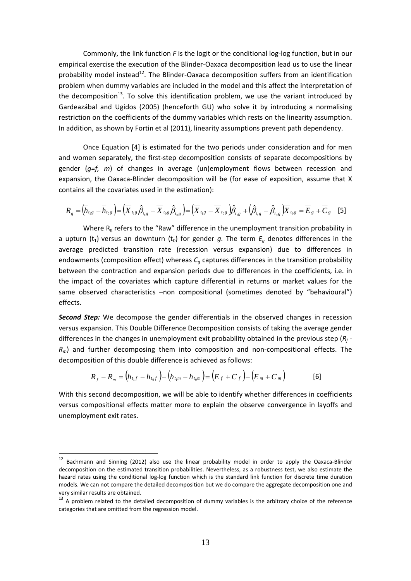Commonly, the link function *F* is the logit or the conditional log‐log function, but in our empirical exercise the execution of the Blinder‐Oaxaca decomposition lead us to use the linear probability model instead<sup>12</sup>. The Blinder-Oaxaca decomposition suffers from an identification problem when dummy variables are included in the model and this affect the interpretation of the decomposition<sup>13</sup>. To solve this identification problem, we use the variant introduced by Gardeazábal and Ugidos (2005) (henceforth GU) who solve it by introducing a normalising restriction on the coefficients of the dummy variables which rests on the linearity assumption. In addition, as shown by Fortin et al (2011), linearity assumptions prevent path dependency.

Once Equation [4] is estimated for the two periods under consideration and for men and women separately, the first-step decomposition consists of separate decompositions by gender (*g=f, m*) of changes in average (un)employment flows between recession and expansion, the Oaxaca-Blinder decomposition will be (for ease of exposition, assume that X contains all the covariates used in the estimation):

$$
R_{g} = (\overline{h}_{t_{1}g} - \overline{h}_{t_{0}g}) = (\overline{X}_{t_{1}g}\hat{\beta}_{t_{1}g} - \overline{X}_{t_{0}g}\hat{\beta}_{t_{0}g}) = (\overline{X}_{t_{1}g} - \overline{X}_{t_{0}g})\hat{\beta}_{t_{1}g} + (\hat{\beta}_{t_{1}g} - \hat{\beta}_{t_{0}g})\overline{X}_{t_{0}g} = \overline{E}_{g} + \overline{C}_{g}
$$
 [5]

Where  $R_g$  refers to the "Raw" difference in the unemployment transition probability in a upturn ( $t_1$ ) versus an downturn ( $t_0$ ) for gender *q*. The term  $E_a$  denotes differences in the average predicted transition rate (recession versus expansion) due to differences in endowments (composition effect) whereas  $C_q$  captures differences in the transition probability between the contraction and expansion periods due to differences in the coefficients, i.e. in the impact of the covariates which capture differential in returns or market values for the same observed characteristics –non compositional (sometimes denoted by "behavioural") effects.

*Second Step:* We decompose the gender differentials in the observed changes in recession versus expansion. This Double Difference Decomposition consists of taking the average gender differences in the changes in unemployment exit probability obtained in the previous step (*Rf ‐ R<sub>m</sub>*) and further decomposing them into composition and non-compositional effects. The decomposition of this double difference is achieved as follows:

$$
R_f - R_m = (\overline{h}_{t_1f} - \overline{h}_{t_0f}) - (\overline{h}_{t_1m} - \overline{h}_{t_0m}) = (\overline{E}_f + \overline{C}_f) - (\overline{E}_m + \overline{C}_m)
$$
 [6]

With this second decomposition, we will be able to identify whether differences in coefficients versus compositional effects matter more to explain the observe convergence in layoffs and unemployment exit rates.

<sup>&</sup>lt;sup>12</sup> Bachmann and Sinning (2012) also use the linear probability model in order to apply the Oaxaca-Blinder decomposition on the estimated transition probabilities. Nevertheless, as a robustness test, we also estimate the hazard rates using the conditional log-log function which is the standard link function for discrete time duration models. We can not compare the detailed decomposition but we do compare the aggregate decomposition one and very similar results are obtained.<br> $13$  A problem related to the detailed decomposition of dummy variables is the arbitrary choice of the reference

categories that are omitted from the regression model.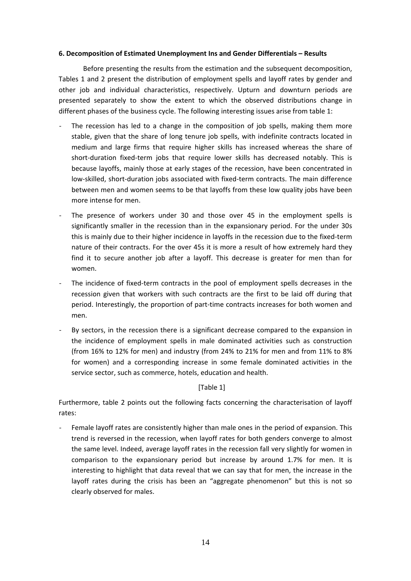#### **6. Decomposition of Estimated Unemployment Ins and Gender Differentials – Results**

Before presenting the results from the estimation and the subsequent decomposition, Tables 1 and 2 present the distribution of employment spells and layoff rates by gender and other job and individual characteristics, respectively. Upturn and downturn periods are presented separately to show the extent to which the observed distributions change in different phases of the business cycle. The following interesting issues arise from table 1:

- The recession has led to a change in the composition of job spells, making them more stable, given that the share of long tenure job spells, with indefinite contracts located in medium and large firms that require higher skills has increased whereas the share of short-duration fixed-term jobs that require lower skills has decreased notably. This is because layoffs, mainly those at early stages of the recession, have been concentrated in low‐skilled, short‐duration jobs associated with fixed‐term contracts. The main difference between men and women seems to be that layoffs from these low quality jobs have been more intense for men.
- The presence of workers under 30 and those over 45 in the employment spells is significantly smaller in the recession than in the expansionary period. For the under 30s this is mainly due to their higher incidence in layoffs in the recession due to the fixed‐term nature of their contracts. For the over 45s it is more a result of how extremely hard they find it to secure another job after a layoff. This decrease is greater for men than for women.
- The incidence of fixed-term contracts in the pool of employment spells decreases in the recession given that workers with such contracts are the first to be laid off during that period. Interestingly, the proportion of part-time contracts increases for both women and men.
- ‐ By sectors, in the recession there is a significant decrease compared to the expansion in the incidence of employment spells in male dominated activities such as construction (from 16% to 12% for men) and industry (from 24% to 21% for men and from 11% to 8% for women) and a corresponding increase in some female dominated activities in the service sector, such as commerce, hotels, education and health.

[Table 1]

Furthermore, table 2 points out the following facts concerning the characterisation of layoff rates:

Female layoff rates are consistently higher than male ones in the period of expansion. This trend is reversed in the recession, when layoff rates for both genders converge to almost the same level. Indeed, average layoff rates in the recession fall very slightly for women in comparison to the expansionary period but increase by around 1.7% for men. It is interesting to highlight that data reveal that we can say that for men, the increase in the layoff rates during the crisis has been an "aggregate phenomenon" but this is not so clearly observed for males.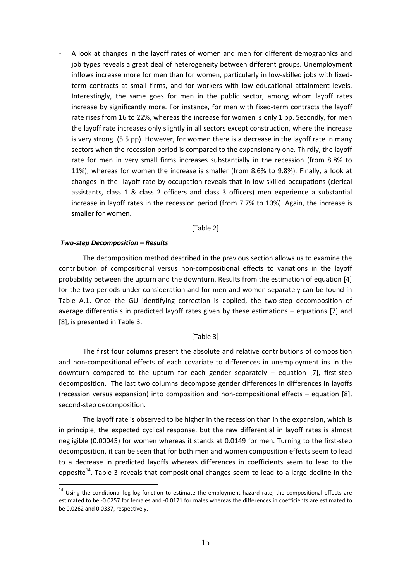‐ A look at changes in the layoff rates of women and men for different demographics and job types reveals a great deal of heterogeneity between different groups. Unemployment inflows increase more for men than for women, particularly in low-skilled jobs with fixedterm contracts at small firms, and for workers with low educational attainment levels. Interestingly, the same goes for men in the public sector, among whom layoff rates increase by significantly more. For instance, for men with fixed-term contracts the layoff rate rises from 16 to 22%, whereas the increase for women is only 1 pp. Secondly, for men the layoff rate increases only slightly in all sectors except construction, where the increase is very strong (5.5 pp). However, for women there is a decrease in the layoff rate in many sectors when the recession period is compared to the expansionary one. Thirdly, the layoff rate for men in very small firms increases substantially in the recession (from 8.8% to 11%), whereas for women the increase is smaller (from 8.6% to 9.8%). Finally, a look at changes in the layoff rate by occupation reveals that in low‐skilled occupations (clerical assistants, class 1 & class 2 officers and class 3 officers) men experience a substantial increase in layoff rates in the recession period (from 7.7% to 10%). Again, the increase is smaller for women.

[Table 2]

#### *Two‐step Decomposition – Results*

1

The decomposition method described in the previous section allows us to examine the contribution of compositional versus non‐compositional effects to variations in the layoff probability between the upturn and the downturn. Results from the estimation of equation [4] for the two periods under consideration and for men and women separately can be found in Table A.1. Once the GU identifying correction is applied, the two-step decomposition of average differentials in predicted layoff rates given by these estimations – equations [7] and [8], is presented in Table 3.

#### [Table 3]

The first four columns present the absolute and relative contributions of composition and non‐compositional effects of each covariate to differences in unemployment ins in the downturn compared to the upturn for each gender separately  $-$  equation [7], first-step decomposition. The last two columns decompose gender differences in differences in layoffs (recession versus expansion) into composition and non‐compositional effects – equation [8], second‐step decomposition.

The layoff rate is observed to be higher in the recession than in the expansion, which is in principle, the expected cyclical response, but the raw differential in layoff rates is almost negligible (0.00045) for women whereas it stands at 0.0149 for men. Turning to the first‐step decomposition, it can be seen that for both men and women composition effects seem to lead to a decrease in predicted layoffs whereas differences in coefficients seem to lead to the opposite<sup>14</sup>. Table 3 reveals that compositional changes seem to lead to a large decline in the

<sup>&</sup>lt;sup>14</sup> Using the conditional log-log function to estimate the employment hazard rate, the compositional effects are estimated to be ‐0.0257 for females and ‐0.0171 for males whereas the differences in coefficients are estimated to be 0.0262 and 0.0337, respectively.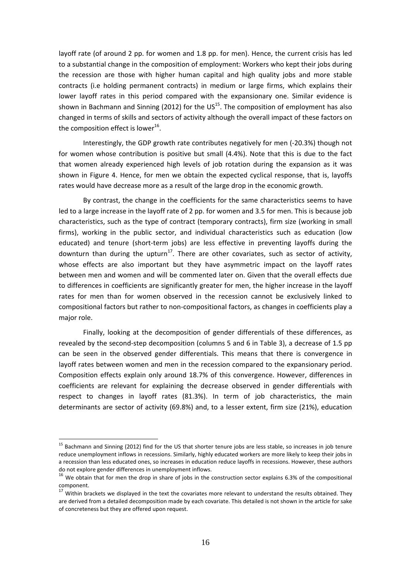layoff rate (of around 2 pp. for women and 1.8 pp. for men). Hence, the current crisis has led to a substantial change in the composition of employment: Workers who kept their jobs during the recession are those with higher human capital and high quality jobs and more stable contracts (i.e holding permanent contracts) in medium or large firms, which explains their lower layoff rates in this period compared with the expansionary one. Similar evidence is shown in Bachmann and Sinning (2012) for the  $US^{15}$ . The composition of employment has also changed in terms of skills and sectors of activity although the overall impact of these factors on the composition effect is lower $^{16}$ .

Interestingly, the GDP growth rate contributes negatively for men (‐20.3%) though not for women whose contribution is positive but small (4.4%). Note that this is due to the fact that women already experienced high levels of job rotation during the expansion as it was shown in Figure 4. Hence, for men we obtain the expected cyclical response, that is, layoffs rates would have decrease more as a result of the large drop in the economic growth.

By contrast, the change in the coefficients for the same characteristics seems to have led to a large increase in the layoff rate of 2 pp. for women and 3.5 for men. This is because job characteristics, such as the type of contract (temporary contracts), firm size (working in small firms), working in the public sector, and individual characteristics such as education (low educated) and tenure (short-term jobs) are less effective in preventing layoffs during the downturn than during the upturn<sup>17</sup>. There are other covariates, such as sector of activity, whose effects are also important but they have asymmetric impact on the layoff rates between men and women and will be commented later on. Given that the overall effects due to differences in coefficients are significantly greater for men, the higher increase in the layoff rates for men than for women observed in the recession cannot be exclusively linked to compositional factors but rather to non‐compositional factors, as changes in coefficients play a major role.

Finally, looking at the decomposition of gender differentials of these differences, as revealed by the second-step decomposition (columns 5 and 6 in Table 3), a decrease of 1.5 pp can be seen in the observed gender differentials. This means that there is convergence in layoff rates between women and men in the recession compared to the expansionary period. Composition effects explain only around 18.7% of this convergence. However, differences in coefficients are relevant for explaining the decrease observed in gender differentials with respect to changes in layoff rates (81.3%). In term of job characteristics, the main determinants are sector of activity (69.8%) and, to a lesser extent, firm size (21%), education

 $15$  Bachmann and Sinning (2012) find for the US that shorter tenure jobs are less stable, so increases in job tenure reduce unemployment inflows in recessions. Similarly, highly educated workers are more likely to keep their jobs in a recession than less educated ones, so increases in education reduce layoffs in recessions. However, these authors

do not explore gender differences in unemployment inflows.<br>
<sup>16</sup> We obtain that for men the drop in share of jobs in the construction sector explains 6.3% of the compositional component.

 $17$  Within brackets we displayed in the text the covariates more relevant to understand the results obtained. They are derived from a detailed decomposition made by each covariate. This detailed is not shown in the article for sake of concreteness but they are offered upon request.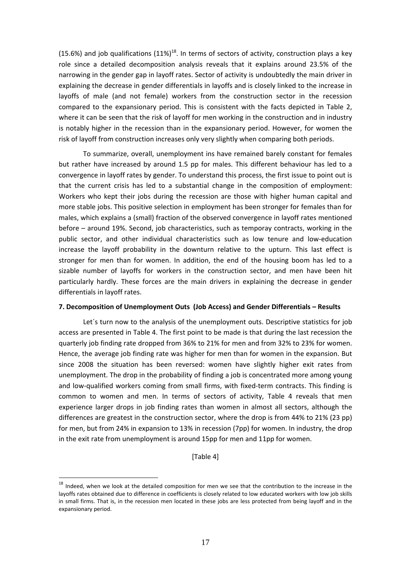(15.6%) and job qualifications  $(11\%)^{18}$ . In terms of sectors of activity, construction plays a key role since a detailed decomposition analysis reveals that it explains around 23.5% of the narrowing in the gender gap in layoff rates. Sector of activity is undoubtedly the main driver in explaining the decrease in gender differentials in layoffs and is closely linked to the increase in layoffs of male (and not female) workers from the construction sector in the recession compared to the expansionary period. This is consistent with the facts depicted in Table 2, where it can be seen that the risk of layoff for men working in the construction and in industry is notably higher in the recession than in the expansionary period. However, for women the risk of layoff from construction increases only very slightly when comparing both periods.

To summarize, overall, unemployment ins have remained barely constant for females but rather have increased by around 1.5 pp for males. This different behaviour has led to a convergence in layoff rates by gender. To understand this process, the first issue to point out is that the current crisis has led to a substantial change in the composition of employment: Workers who kept their jobs during the recession are those with higher human capital and more stable jobs. This positive selection in employment has been stronger for females than for males, which explains a (small) fraction of the observed convergence in layoff rates mentioned before – around 19%. Second, job characteristics, such as temporay contracts, working in the public sector, and other individual characteristics such as low tenure and low‐education increase the layoff probability in the downturn relative to the upturn. This last effect is stronger for men than for women. In addition, the end of the housing boom has led to a sizable number of layoffs for workers in the construction sector, and men have been hit particularly hardly. These forces are the main drivers in explaining the decrease in gender differentials in layoff rates.

#### **7. Decomposition of Unemployment Outs (Job Access) and Gender Differentials – Results**

Let´s turn now to the analysis of the unemployment outs. Descriptive statistics for job access are presented in Table 4. The first point to be made is that during the last recession the quarterly job finding rate dropped from 36% to 21% for men and from 32% to 23% for women. Hence, the average job finding rate was higher for men than for women in the expansion. But since 2008 the situation has been reversed: women have slightly higher exit rates from unemployment. The drop in the probability of finding a job is concentrated more among young and low-qualified workers coming from small firms, with fixed-term contracts. This finding is common to women and men. In terms of sectors of activity, Table 4 reveals that men experience larger drops in job finding rates than women in almost all sectors, although the differences are greatest in the construction sector, where the drop is from 44% to 21% (23 pp) for men, but from 24% in expansion to 13% in recession (7pp) for women. In industry, the drop in the exit rate from unemployment is around 15pp for men and 11pp for women.

[Table 4]

<sup>&</sup>lt;sup>18</sup> Indeed, when we look at the detailed composition for men we see that the contribution to the increase in the layoffs rates obtained due to difference in coefficients is closely related to low educated workers with low job skills in small firms. That is, in the recession men located in these jobs are less protected from being layoff and in the expansionary period.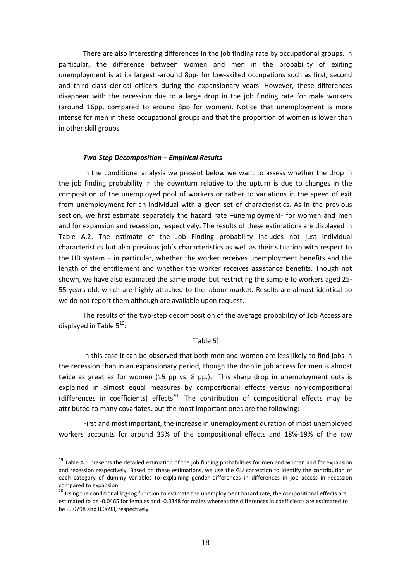There are also interesting differences in the job finding rate by occupational groups. In particular, the difference between women and men in the probability of exiting unemployment is at its largest -around 8pp- for low-skilled occupations such as first, second and third class clerical officers during the expansionary years. However, these differences disappear with the recession due to a large drop in the job finding rate for male workers (around 16pp, compared to around 8pp for women). Notice that unemployment is more intense for men in these occupational groups and that the proportion of women is lower than in other skill groups .

#### *Two‐Step Decomposition – Empirical Results*

In the conditional analysis we present below we want to assess whether the drop in the job finding probability in the downturn relative to the upturn is due to changes in the composition of the unemployed pool of workers or rather to variations in the speed of exit from unemployment for an individual with a given set of characteristics. As in the previous section, we first estimate separately the hazard rate –unemployment- for women and men and for expansion and recession, respectively. The results of these estimations are displayed in Table A.2. The estimate of the Job Finding probability includes not just individual characteristics but also previous job´s characteristics as well as their situation with respect to the UB system – in particular, whether the worker receives unemployment benefits and the length of the entitlement and whether the worker receives assistance benefits. Though not shown, we have also estimated the same model but restricting the sample to workers aged 25‐ 55 years old, which are highly attached to the labour market. Results are almost identical so we do not report them although are available upon request.

The results of the two-step decomposition of the average probability of Job Access are displayed in Table 5<sup>19</sup>:

#### [Table 5]

In this case it can be observed that both men and women are less likely to find jobs in the recession than in an expansionary period, though the drop in job access for men is almost twice as great as for women (15 pp vs. 8 pp.). This sharp drop in unemployment outs is explained in almost equal measures by compositional effects versus non‐compositional (differences in coefficients) effects<sup>20</sup>. The contribution of compositional effects may be attributed to many covariates, but the most important ones are the following:

First and most important, the increase in unemployment duration of most unemployed workers accounts for around 33% of the compositional effects and 18%‐19% of the raw

<sup>&</sup>lt;sup>19</sup> Table A.5 presents the detailed estimation of the job finding probabilities for men and women and for expansion and recession respectively. Based on these estimations, we use the GU correction to identify the contribution of each category of dummy variables to explaining gender differences in differences in job access in recession compared to expansion.<br><sup>20</sup> Using the conditional log-log function to estimate the unemployment hazard rate, the compositional effects are

estimated to be ‐0.0465 for females and ‐0.0348 for males whereas the differences in coefficients are estimated to be ‐0.0798 and 0.0693, respectively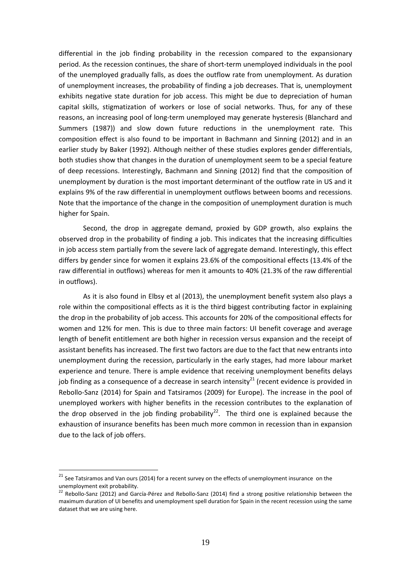differential in the job finding probability in the recession compared to the expansionary period. As the recession continues, the share of short-term unemployed individuals in the pool of the unemployed gradually falls, as does the outflow rate from unemployment. As duration of unemployment increases, the probability of finding a job decreases. That is, unemployment exhibits negative state duration for job access. This might be due to depreciation of human capital skills, stigmatization of workers or lose of social networks. Thus, for any of these reasons, an increasing pool of long‐term unemployed may generate hysteresis (Blanchard and Summers (1987)) and slow down future reductions in the unemployment rate. This composition effect is also found to be important in Bachmann and Sinning (2012) and in an earlier study by Baker (1992). Although neither of these studies explores gender differentials, both studies show that changes in the duration of unemployment seem to be a special feature of deep recessions. Interestingly, Bachmann and Sinning (2012) find that the composition of unemployment by duration is the most important determinant of the outflow rate in US and it explains 9% of the raw differential in unemployment outflows between booms and recessions. Note that the importance of the change in the composition of unemployment duration is much higher for Spain.

Second, the drop in aggregate demand, proxied by GDP growth, also explains the observed drop in the probability of finding a job. This indicates that the increasing difficulties in job access stem partially from the severe lack of aggregate demand. Interestingly, this effect differs by gender since for women it explains 23.6% of the compositional effects (13.4% of the raw differential in outflows) whereas for men it amounts to 40% (21.3% of the raw differential in outflows).

As it is also found in Elbsy et al (2013), the unemployment benefit system also plays a role within the compositional effects as it is the third biggest contributing factor in explaining the drop in the probability of job access. This accounts for 20% of the compositional effects for women and 12% for men. This is due to three main factors: UI benefit coverage and average length of benefit entitlement are both higher in recession versus expansion and the receipt of assistant benefits has increased. The first two factors are due to the fact that new entrants into unemployment during the recession, particularly in the early stages, had more labour market experience and tenure. There is ample evidence that receiving unemployment benefits delays job finding as a consequence of a decrease in search intensity<sup>21</sup> (recent evidence is provided in Rebollo-Sanz (2014) for Spain and Tatsiramos (2009) for Europe). The increase in the pool of unemployed workers with higher benefits in the recession contributes to the explanation of the drop observed in the job finding probability<sup>22</sup>. The third one is explained because the exhaustion of insurance benefits has been much more common in recession than in expansion due to the lack of job offers.

<u>.</u>

<sup>&</sup>lt;sup>21</sup> See Tatsiramos and Van ours (2014) for a recent survey on the effects of unemployment insurance on the unemployment exit probability.<br><sup>22</sup> Rebollo‐Sanz (2012) and García‐Pérez and Rebollo‐Sanz (2014) find a strong positive relationship between the

maximum duration of UI benefits and unemployment spell duration for Spain in the recent recession using the same dataset that we are using here.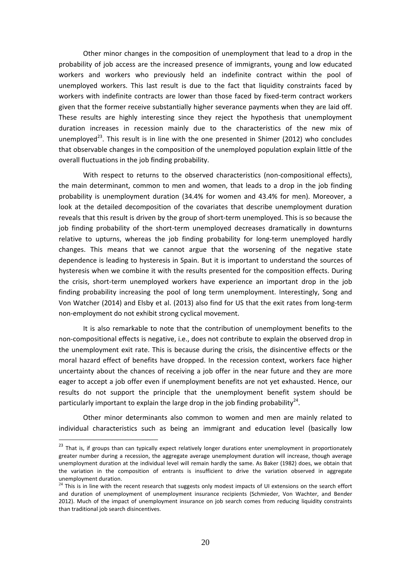Other minor changes in the composition of unemployment that lead to a drop in the probability of job access are the increased presence of immigrants, young and low educated workers and workers who previously held an indefinite contract within the pool of unemployed workers. This last result is due to the fact that liquidity constraints faced by workers with indefinite contracts are lower than those faced by fixed-term contract workers given that the former receive substantially higher severance payments when they are laid off. These results are highly interesting since they reject the hypothesis that unemployment duration increases in recession mainly due to the characteristics of the new mix of unemployed<sup>23</sup>. This result is in line with the one presented in Shimer (2012) who concludes that observable changes in the composition of the unemployed population explain little of the overall fluctuations in the job finding probability.

With respect to returns to the observed characteristics (non-compositional effects), the main determinant, common to men and women, that leads to a drop in the job finding probability is unemployment duration (34.4% for women and 43.4% for men). Moreover, a look at the detailed decomposition of the covariates that describe unemployment duration reveals that this result is driven by the group of short-term unemployed. This is so because the job finding probability of the short-term unemployed decreases dramatically in downturns relative to upturns, whereas the job finding probability for long-term unemployed hardly changes. This means that we cannot argue that the worsening of the negative state dependence is leading to hysteresis in Spain. But it is important to understand the sources of hysteresis when we combine it with the results presented for the composition effects. During the crisis, short-term unemployed workers have experience an important drop in the job finding probability increasing the pool of long term unemployment. Interestingly, Song and Von Watcher (2014) and Elsby et al. (2013) also find for US that the exit rates from long‐term non‐employment do not exhibit strong cyclical movement.

It is also remarkable to note that the contribution of unemployment benefits to the non‐compositional effects is negative, i.e., does not contribute to explain the observed drop in the unemployment exit rate. This is because during the crisis, the disincentive effects or the moral hazard effect of benefits have dropped. In the recession context, workers face higher uncertainty about the chances of receiving a job offer in the near future and they are more eager to accept a job offer even if unemployment benefits are not yet exhausted. Hence, our results do not support the principle that the unemployment benefit system should be particularly important to explain the large drop in the job finding probability<sup>24</sup>.

Other minor determinants also common to women and men are mainly related to individual characteristics such as being an immigrant and education level (basically low

<sup>&</sup>lt;sup>23</sup> That is, if groups than can typically expect relatively longer durations enter unemployment in proportionately greater number during a recession, the aggregate average unemployment duration will increase, though average unemployment duration at the individual level will remain hardly the same. As Baker (1982) does, we obtain that the variation in the composition of entrants is insufficient to drive the variation observed in aggregate unemployment duration.<br><sup>24</sup> This is in line with the recent research that suggests only modest impacts of UI extensions on the search effort

and duration of unemployment of unemployment insurance recipients (Schmieder, Von Wachter, and Bender 2012). Much of the impact of unemployment insurance on job search comes from reducing liquidity constraints than traditional job search disincentives.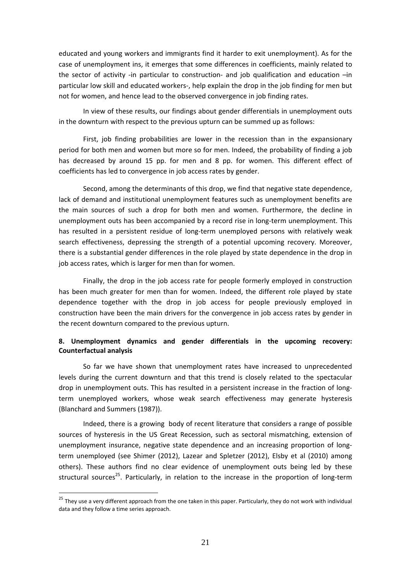educated and young workers and immigrants find it harder to exit unemployment). As for the case of unemployment ins, it emerges that some differences in coefficients, mainly related to the sector of activity -in particular to construction- and job qualification and education  $-$ in particular low skill and educated workers‐, help explain the drop in the job finding for men but not for women, and hence lead to the observed convergence in job finding rates.

In view of these results, our findings about gender differentials in unemployment outs in the downturn with respect to the previous upturn can be summed up as follows:

First, job finding probabilities are lower in the recession than in the expansionary period for both men and women but more so for men. Indeed, the probability of finding a job has decreased by around 15 pp. for men and 8 pp. for women. This different effect of coefficients has led to convergence in job access rates by gender.

Second, among the determinants of this drop, we find that negative state dependence, lack of demand and institutional unemployment features such as unemployment benefits are the main sources of such a drop for both men and women. Furthermore, the decline in unemployment outs has been accompanied by a record rise in long-term unemployment. This has resulted in a persistent residue of long-term unemployed persons with relatively weak search effectiveness, depressing the strength of a potential upcoming recovery. Moreover, there is a substantial gender differences in the role played by state dependence in the drop in job access rates, which is larger for men than for women.

Finally, the drop in the job access rate for people formerly employed in construction has been much greater for men than for women. Indeed, the different role played by state dependence together with the drop in job access for people previously employed in construction have been the main drivers for the convergence in job access rates by gender in the recent downturn compared to the previous upturn.

#### **8. Unemployment dynamics and gender differentials in the upcoming recovery: Counterfactual analysis**

So far we have shown that unemployment rates have increased to unprecedented levels during the current downturn and that this trend is closely related to the spectacular drop in unemployment outs. This has resulted in a persistent increase in the fraction of longterm unemployed workers, whose weak search effectiveness may generate hysteresis (Blanchard and Summers (1987)).

Indeed, there is a growing body of recent literature that considers a range of possible sources of hysteresis in the US Great Recession, such as sectoral mismatching, extension of unemployment insurance, negative state dependence and an increasing proportion of long‐ term unemployed (see Shimer (2012), Lazear and Spletzer (2012), Elsby et al (2010) among others). These authors find no clear evidence of unemployment outs being led by these structural sources<sup>25</sup>. Particularly, in relation to the increase in the proportion of long-term

<u>.</u>

<sup>&</sup>lt;sup>25</sup> They use a very different approach from the one taken in this paper. Particularly, they do not work with individual data and they follow a time series approach.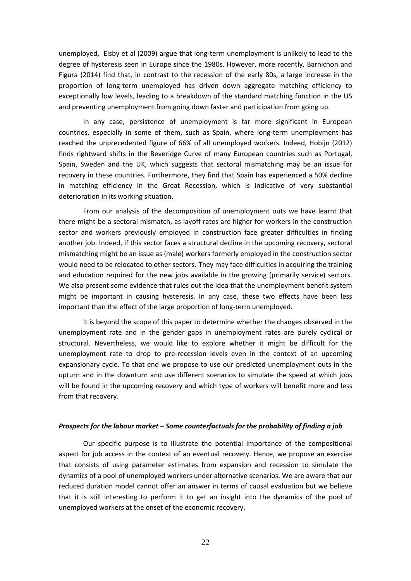unemployed, Elsby et al (2009) argue that long‐term unemployment is unlikely to lead to the degree of hysteresis seen in Europe since the 1980s. However, more recently, Barnichon and Figura (2014) find that, in contrast to the recession of the early 80s, a large increase in the proportion of long‐term unemployed has driven down aggregate matching efficiency to exceptionally low levels, leading to a breakdown of the standard matching function in the US and preventing unemployment from going down faster and participation from going up.

In any case, persistence of unemployment is far more significant in European countries, especially in some of them, such as Spain, where long-term unemployment has reached the unprecedented figure of 66% of all unemployed workers. Indeed, Hobijn (2012) finds rightward shifts in the Beveridge Curve of many European countries such as Portugal, Spain, Sweden and the UK, which suggests that sectoral mismatching may be an issue for recovery in these countries. Furthermore, they find that Spain has experienced a 50% decline in matching efficiency in the Great Recession, which is indicative of very substantial deterioration in its working situation.

From our analysis of the decomposition of unemployment outs we have learnt that there might be a sectoral mismatch, as layoff rates are higher for workers in the construction sector and workers previously employed in construction face greater difficulties in finding another job. Indeed, if this sector faces a structural decline in the upcoming recovery, sectoral mismatching might be an issue as (male) workers formerly employed in the construction sector would need to be relocated to other sectors. They may face difficulties in acquiring the training and education required for the new jobs available in the growing (primarily service) sectors. We also present some evidence that rules out the idea that the unemployment benefit system might be important in causing hysteresis. In any case, these two effects have been less important than the effect of the large proportion of long-term unemployed.

It is beyond the scope of this paper to determine whether the changes observed in the unemployment rate and in the gender gaps in unemployment rates are purely cyclical or structural. Nevertheless, we would like to explore whether it might be difficult for the unemployment rate to drop to pre‐recession levels even in the context of an upcoming expansionary cycle. To that end we propose to use our predicted unemployment outs in the upturn and in the downturn and use different scenarios to simulate the speed at which jobs will be found in the upcoming recovery and which type of workers will benefit more and less from that recovery.

#### *Prospects for the labour market – Some counterfactuals for the probability of finding a job*

Our specific purpose is to illustrate the potential importance of the compositional aspect for job access in the context of an eventual recovery. Hence, we propose an exercise that consists of using parameter estimates from expansion and recession to simulate the dynamics of a pool of unemployed workers under alternative scenarios. We are aware that our reduced duration model cannot offer an answer in terms of causal evaluation but we believe that it is still interesting to perform it to get an insight into the dynamics of the pool of unemployed workers at the onset of the economic recovery.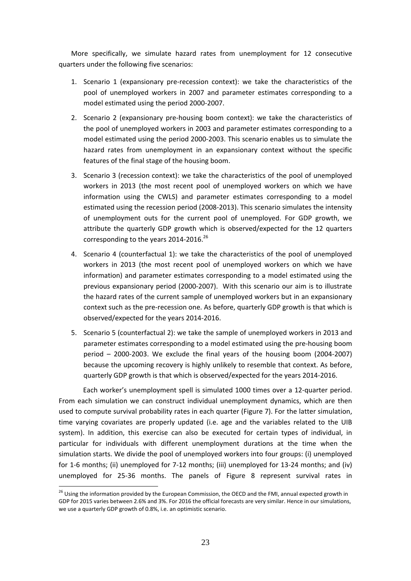More specifically, we simulate hazard rates from unemployment for 12 consecutive quarters under the following five scenarios:

- 1. Scenario 1 (expansionary pre‐recession context): we take the characteristics of the pool of unemployed workers in 2007 and parameter estimates corresponding to a model estimated using the period 2000‐2007.
- 2. Scenario 2 (expansionary pre‐housing boom context): we take the characteristics of the pool of unemployed workers in 2003 and parameter estimates corresponding to a model estimated using the period 2000‐2003. This scenario enables us to simulate the hazard rates from unemployment in an expansionary context without the specific features of the final stage of the housing boom.
- 3. Scenario 3 (recession context): we take the characteristics of the pool of unemployed workers in 2013 (the most recent pool of unemployed workers on which we have information using the CWLS) and parameter estimates corresponding to a model estimated using the recession period (2008‐2013). This scenario simulates the intensity of unemployment outs for the current pool of unemployed. For GDP growth, we attribute the quarterly GDP growth which is observed/expected for the 12 quarters corresponding to the years 2014-2016.<sup>26</sup>
- 4. Scenario 4 (counterfactual 1): we take the characteristics of the pool of unemployed workers in 2013 (the most recent pool of unemployed workers on which we have information) and parameter estimates corresponding to a model estimated using the previous expansionary period (2000‐2007). With this scenario our aim is to illustrate the hazard rates of the current sample of unemployed workers but in an expansionary context such as the pre‐recession one. As before, quarterly GDP growth is that which is observed/expected for the years 2014‐2016.
- 5. Scenario 5 (counterfactual 2): we take the sample of unemployed workers in 2013 and parameter estimates corresponding to a model estimated using the pre‐housing boom period – 2000‐2003. We exclude the final years of the housing boom (2004‐2007) because the upcoming recovery is highly unlikely to resemble that context. As before, quarterly GDP growth is that which is observed/expected for the years 2014‐2016.

Each worker's unemployment spell is simulated 1000 times over a 12‐quarter period. From each simulation we can construct individual unemployment dynamics, which are then used to compute survival probability rates in each quarter (Figure 7). For the latter simulation, time varying covariates are properly updated (i.e. age and the variables related to the UIB system). In addition, this exercise can also be executed for certain types of individual, in particular for individuals with different unemployment durations at the time when the simulation starts. We divide the pool of unemployed workers into four groups: (i) unemployed for 1-6 months; (ii) unemployed for 7-12 months; (iii) unemployed for 13-24 months; and (iv) unemployed for 25‐36 months. The panels of Figure 8 represent survival rates in

<u>.</u>

<sup>&</sup>lt;sup>26</sup> Using the information provided by the European Commission, the OECD and the FMI, annual expected growth in GDP for 2015 varies between 2.6% and 3%. For 2016 the official forecasts are very similar. Hence in our simulations, we use a quarterly GDP growth of 0.8%, i.e. an optimistic scenario.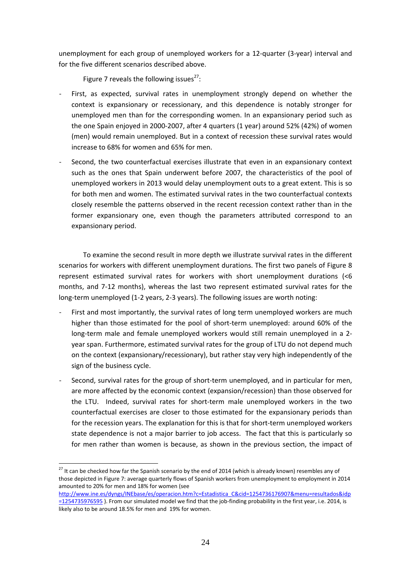unemployment for each group of unemployed workers for a 12‐quarter (3‐year) interval and for the five different scenarios described above.

Figure 7 reveals the following issues $^{27}$ :

- First, as expected, survival rates in unemployment strongly depend on whether the context is expansionary or recessionary, and this dependence is notably stronger for unemployed men than for the corresponding women. In an expansionary period such as the one Spain enjoyed in 2000‐2007, after 4 quarters (1 year) around 52% (42%) of women (men) would remain unemployed. But in a context of recession these survival rates would increase to 68% for women and 65% for men.
- Second, the two counterfactual exercises illustrate that even in an expansionary context such as the ones that Spain underwent before 2007, the characteristics of the pool of unemployed workers in 2013 would delay unemployment outs to a great extent. This is so for both men and women. The estimated survival rates in the two counterfactual contexts closely resemble the patterns observed in the recent recession context rather than in the former expansionary one, even though the parameters attributed correspond to an expansionary period.

To examine the second result in more depth we illustrate survival rates in the different scenarios for workers with different unemployment durations. The first two panels of Figure 8 represent estimated survival rates for workers with short unemployment durations (<6 months, and 7‐12 months), whereas the last two represent estimated survival rates for the long-term unemployed (1-2 years, 2-3 years). The following issues are worth noting:

- First and most importantly, the survival rates of long term unemployed workers are much higher than those estimated for the pool of short-term unemployed: around 60% of the long-term male and female unemployed workers would still remain unemployed in a 2year span. Furthermore, estimated survival rates for the group of LTU do not depend much on the context (expansionary/recessionary), but rather stay very high independently of the sign of the business cycle.
- Second, survival rates for the group of short-term unemployed, and in particular for men, are more affected by the economic context (expansion/recession) than those observed for the LTU. Indeed, survival rates for short-term male unemployed workers in the two counterfactual exercises are closer to those estimated for the expansionary periods than for the recession years. The explanation for this is that for short-term unemployed workers state dependence is not a major barrier to job access. The fact that this is particularly so for men rather than women is because, as shown in the previous section, the impact of

<u>.</u>

<sup>&</sup>lt;sup>27</sup> It can be checked how far the Spanish scenario by the end of 2014 (which is already known) resembles any of those depicted in Figure 7: average quarterly flows of Spanish workers from unemployment to employment in 2014 amounted to 20% for men and 18% for women (see

http://www.ine.es/dyngs/INEbase/es/operacion.htm?c=Estadistica\_C&cid=1254736176907&menu=resultados&idp =1254735976595). From our simulated model we find that the job-finding probability in the first year, i.e. 2014, is likely also to be around 18.5% for men and 19% for women.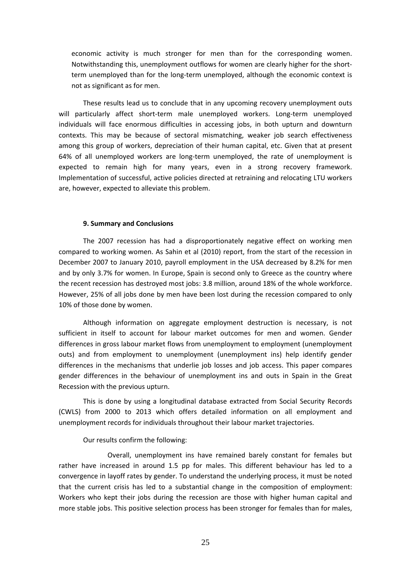economic activity is much stronger for men than for the corresponding women. Notwithstanding this, unemployment outflows for women are clearly higher for the short‐ term unemployed than for the long-term unemployed, although the economic context is not as significant as for men.

These results lead us to conclude that in any upcoming recovery unemployment outs will particularly affect short-term male unemployed workers. Long-term unemployed individuals will face enormous difficulties in accessing jobs, in both upturn and downturn contexts. This may be because of sectoral mismatching, weaker job search effectiveness among this group of workers, depreciation of their human capital, etc. Given that at present 64% of all unemployed workers are long‐term unemployed, the rate of unemployment is expected to remain high for many years, even in a strong recovery framework. Implementation of successful, active policies directed at retraining and relocating LTU workers are, however, expected to alleviate this problem.

#### **9. Summary and Conclusions**

The 2007 recession has had a disproportionately negative effect on working men compared to working women. As Sahin et al (2010) report, from the start of the recession in December 2007 to January 2010, payroll employment in the USA decreased by 8.2% for men and by only 3.7% for women. In Europe, Spain is second only to Greece as the country where the recent recession has destroyed most jobs: 3.8 million, around 18% of the whole workforce. However, 25% of all jobs done by men have been lost during the recession compared to only 10% of those done by women.

Although information on aggregate employment destruction is necessary, is not sufficient in itself to account for labour market outcomes for men and women. Gender differences in gross labour market flows from unemployment to employment (unemployment outs) and from employment to unemployment (unemployment ins) help identify gender differences in the mechanisms that underlie job losses and job access. This paper compares gender differences in the behaviour of unemployment ins and outs in Spain in the Great Recession with the previous upturn.

This is done by using a longitudinal database extracted from Social Security Records (CWLS) from 2000 to 2013 which offers detailed information on all employment and unemployment records for individuals throughout their labour market trajectories.

#### Our results confirm the following:

Overall, unemployment ins have remained barely constant for females but rather have increased in around 1.5 pp for males. This different behaviour has led to a convergence in layoff rates by gender. To understand the underlying process, it must be noted that the current crisis has led to a substantial change in the composition of employment: Workers who kept their jobs during the recession are those with higher human capital and more stable jobs. This positive selection process has been stronger for females than for males,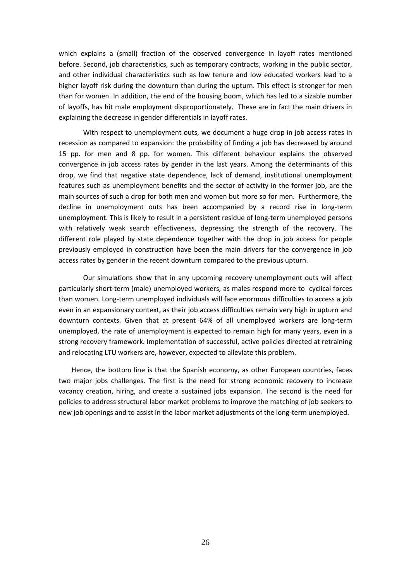which explains a (small) fraction of the observed convergence in layoff rates mentioned before. Second, job characteristics, such as temporary contracts, working in the public sector, and other individual characteristics such as low tenure and low educated workers lead to a higher layoff risk during the downturn than during the upturn. This effect is stronger for men than for women. In addition, the end of the housing boom, which has led to a sizable number of layoffs, has hit male employment disproportionately. These are in fact the main drivers in explaining the decrease in gender differentials in layoff rates.

With respect to unemployment outs, we document a huge drop in job access rates in recession as compared to expansion: the probability of finding a job has decreased by around 15 pp. for men and 8 pp. for women. This different behaviour explains the observed convergence in job access rates by gender in the last years. Among the determinants of this drop, we find that negative state dependence, lack of demand, institutional unemployment features such as unemployment benefits and the sector of activity in the former job, are the main sources of such a drop for both men and women but more so for men. Furthermore, the decline in unemployment outs has been accompanied by a record rise in long-term unemployment. This is likely to result in a persistent residue of long‐term unemployed persons with relatively weak search effectiveness, depressing the strength of the recovery. The different role played by state dependence together with the drop in job access for people previously employed in construction have been the main drivers for the convergence in job access rates by gender in the recent downturn compared to the previous upturn.

Our simulations show that in any upcoming recovery unemployment outs will affect particularly short‐term (male) unemployed workers, as males respond more to cyclical forces than women. Long‐term unemployed individuals will face enormous difficulties to access a job even in an expansionary context, as their job access difficulties remain very high in upturn and downturn contexts. Given that at present 64% of all unemployed workers are long‐term unemployed, the rate of unemployment is expected to remain high for many years, even in a strong recovery framework. Implementation of successful, active policies directed at retraining and relocating LTU workers are, however, expected to alleviate this problem.

Hence, the bottom line is that the Spanish economy, as other European countries, faces two major jobs challenges. The first is the need for strong economic recovery to increase vacancy creation, hiring, and create a sustained jobs expansion. The second is the need for policies to address structural labor market problems to improve the matching of job seekers to new job openings and to assist in the labor market adjustments of the long‐term unemployed.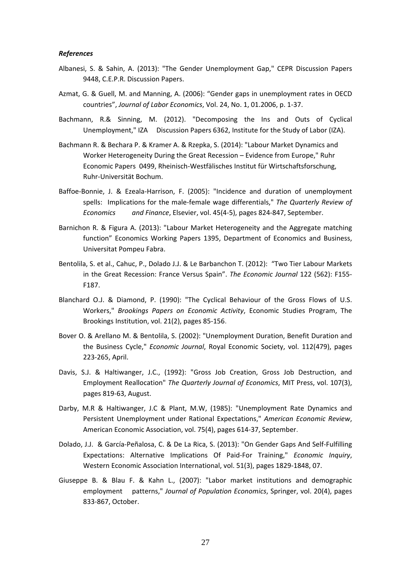#### *References*

- Albanesi, S. & Sahin, A. (2013): "The Gender Unemployment Gap," CEPR Discussion Papers 9448, C.E.P.R. Discussion Papers.
- Azmat, G. & Guell, M. and Manning, A. (2006): "Gender gaps in unemployment rates in OECD countries", *Journal of Labor Economics*, Vol. 24, No. 1, 01.2006, p. 1‐37.
- Bachmann, R.& Sinning, M. (2012). "Decomposing the Ins and Outs of Cyclical Unemployment," IZA Discussion Papers 6362, Institute for the Study of Labor (IZA).
- Bachmann R. & Bechara P. & Kramer A. & Rzepka, S. (2014): "Labour Market Dynamics and Worker Heterogeneity During the Great Recession – Evidence from Europe," Ruhr Economic Papers 0499, Rheinisch‐Westfälisches Institut für Wirtschaftsforschung, Ruhr‐Universität Bochum.
- Baffoe-Bonnie, J. & Ezeala-Harrison, F. (2005): "Incidence and duration of unemployment spells: Implications for the male‐female wage differentials," *The Quarterly Review of Economics and Finance*, Elsevier, vol. 45(4‐5), pages 824‐847, September.
- Barnichon R. & Figura A. (2013): "Labour Market Heterogeneity and the Aggregate matching function" Economics Working Papers 1395, Department of Economics and Business, Universitat Pompeu Fabra.
- Bentolila, S. et al., Cahuc, P., Dolado J.J. & Le Barbanchon T. (2012): "Two Tier Labour Markets in the Great Recession: France Versus Spain". *The Economic Journal* 122 (562): F155‐ F187.
- Blanchard O.J. & Diamond, P. (1990): "The Cyclical Behaviour of the Gross Flows of U.S. Workers," *Brookings Papers on Economic Activity*, Economic Studies Program, The Brookings Institution, vol. 21(2), pages 85‐156.
- Bover O. & Arellano M. & Bentolila, S. (2002): "Unemployment Duration, Benefit Duration and the Business Cycle," *Economic Journal*, Royal Economic Society, vol. 112(479), pages 223‐265, April.
- Davis, S.J. & Haltiwanger, J.C., (1992): "Gross Job Creation, Gross Job Destruction, and Employment Reallocation" *The Quarterly Journal of Economics*, MIT Press, vol. 107(3), pages 819‐63, August.
- Darby, M.R & Haltiwanger, J.C & Plant, M.W, (1985): "Unemployment Rate Dynamics and Persistent Unemployment under Rational Expectations," *American Economic Review*, American Economic Association, vol. 75(4), pages 614‐37, September.
- Dolado, J.J. & García‐Peñalosa, C. & De La Rica, S. (2013): "On Gender Gaps And Self‐Fulfilling Expectations: Alternative Implications Of Paid‐For Training," *Economic Inquiry*, Western Economic Association International, vol. 51(3), pages 1829‐1848, 07.
- Giuseppe B. & Blau F. & Kahn L., (2007): "Labor market institutions and demographic employment patterns," *Journal of Population Economics*, Springer, vol. 20(4), pages 833‐867, October.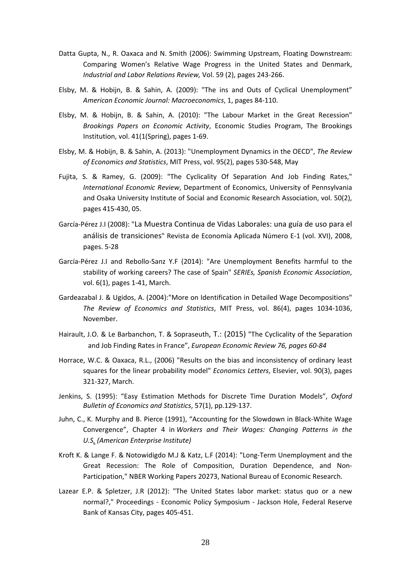- Datta Gupta, N., R. Oaxaca and N. Smith (2006): Swimming Upstream, Floating Downstream: Comparing Women's Relative Wage Progress in the United States and Denmark, *Industrial and Labor Relations Review,* Vol. 59 (2), pages 243‐266.
- Elsby, M. & Hobijn, B. & Sahin, A. (2009): "The ins and Outs of Cyclical Unemployment" *American Economic Journal: Macroeconomics*, 1, pages 84‐110.
- Elsby, M. & Hobijn, B. & Sahin, A. (2010): "The Labour Market in the Great Recession" *Brookings Papers on Economic Activity*, Economic Studies Program, The Brookings Institution, vol. 41(1(Spring), pages 1‐69.
- Elsby, M. & Hobijn, B. & Sahin, A. (2013): "Unemployment Dynamics in the OECD", *The Review of Economics and Statistics*, MIT Press, vol. 95(2), pages 530‐548, May
- Fujita, S. & Ramey, G. (2009): "The Cyclicality Of Separation And Job Finding Rates," *International Economic Review*, Department of Economics, University of Pennsylvania and Osaka University Institute of Social and Economic Research Association, vol. 50(2), pages 415‐430, 05.
- García‐Pérez J.I (2008): "La Muestra Continua de Vidas Laborales: una guía de uso para el análisis de transiciones" Revista de Economía Aplicada Número E‐1 (vol. XVI), 2008, pages. 5‐28
- García‐Pérez J.I and Rebollo‐Sanz Y.F (2014): "Are Unemployment Benefits harmful to the stability of working careers? The case of Spain" *SERIEs, Spanish Economic Association*, vol. 6(1), pages 1‐41, March.
- Gardeazabal J. & Ugidos, A. (2004):"More on Identification in Detailed Wage Decompositions" *The Review of Economics and Statistics*, MIT Press, vol. 86(4), pages 1034‐1036, November.
- Hairault, J.O. & Le Barbanchon, T. & Sopraseuth, T.: (2015) "The Cyclicality of the Separation and Job Finding Rates in France", *European Economic Review 76, pages 60‐84*
- Horrace, W.C. & Oaxaca, R.L., (2006) "Results on the bias and inconsistency of ordinary least squares for the linear probability model" *Economics Letters*, Elsevier, vol. 90(3), pages 321‐327, March.
- Jenkins, S. (1995): "Easy Estimation Methods for Discrete Time Duration Models", *Oxford Bulletin of Economics and Statistics*, 57(1), pp.129‐137.
- Juhn, C., K. Murphy and B. Pierce (1991), "Accounting for the Slowdown in Black‐White Wage Convergence", Chapter 4 in *Workers and Their Wages: Changing Patterns in the U.S. (American Enterprise Institute)*
- Kroft K. & Lange F. & Notowidigdo M.J & Katz, L.F (2014): "Long‐Term Unemployment and the Great Recession: The Role of Composition, Duration Dependence, and Non‐ Participation," NBER Working Papers 20273, National Bureau of Economic Research.
- Lazear E.P. & Spletzer, J.R (2012): "The United States labor market: status quo or a new normal?," Proceedings - Economic Policy Symposium - Jackson Hole, Federal Reserve Bank of Kansas City, pages 405‐451.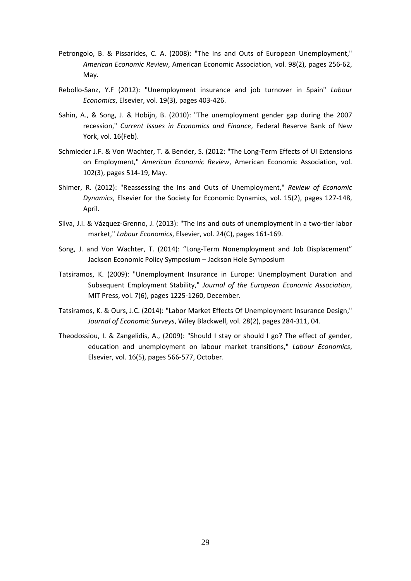- Petrongolo, B. & Pissarides, C. A. (2008): "The Ins and Outs of European Unemployment," *American Economic Review*, American Economic Association, vol. 98(2), pages 256‐62, May.
- Rebollo‐Sanz, Y.F (2012): "Unemployment insurance and job turnover in Spain" *Labour Economics*, Elsevier, vol. 19(3), pages 403‐426.
- Sahin, A., & Song, J. & Hobijn, B. (2010): "The unemployment gender gap during the 2007 recession," *Current Issues in Economics and Finance*, Federal Reserve Bank of New York, vol. 16(Feb).
- Schmieder J.F. & Von Wachter, T. & Bender, S. (2012: "The Long‐Term Effects of UI Extensions on Employment," *American Economic Review*, American Economic Association, vol. 102(3), pages 514‐19, May.
- Shimer, R. (2012): "Reassessing the Ins and Outs of Unemployment," *Review of Economic Dynamics*, Elsevier for the Society for Economic Dynamics, vol. 15(2), pages 127‐148, April.
- Silva, J.I. & Vázquez‐Grenno, J. (2013): "The ins and outs of unemployment in a two‐tier labor market," *Labour Economics*, Elsevier, vol. 24(C), pages 161‐169.
- Song, J. and Von Wachter, T. (2014): "Long‐Term Nonemployment and Job Displacement" Jackson Economic Policy Symposium – Jackson Hole Symposium
- Tatsiramos, K. (2009): "Unemployment Insurance in Europe: Unemployment Duration and Subsequent Employment Stability," *Journal of the European Economic Association*, MIT Press, vol. 7(6), pages 1225‐1260, December.
- Tatsiramos, K. & Ours, J.C. (2014): "Labor Market Effects Of Unemployment Insurance Design," *Journal of Economic Surveys*, Wiley Blackwell, vol. 28(2), pages 284‐311, 04.
- Theodossiou, I. & Zangelidis, A., (2009): "Should I stay or should I go? The effect of gender, education and unemployment on labour market transitions," *Labour Economics*, Elsevier, vol. 16(5), pages 566‐577, October.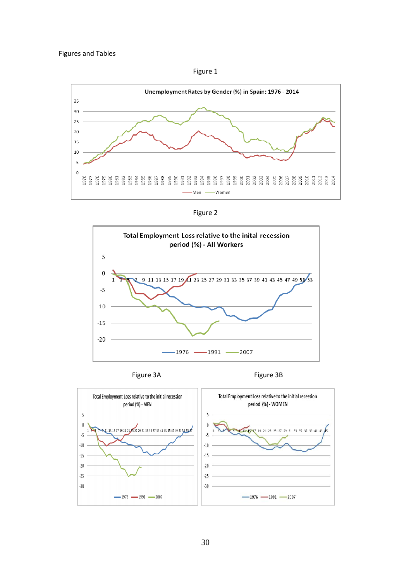Figures and Tables

Figure 1



Figure 2







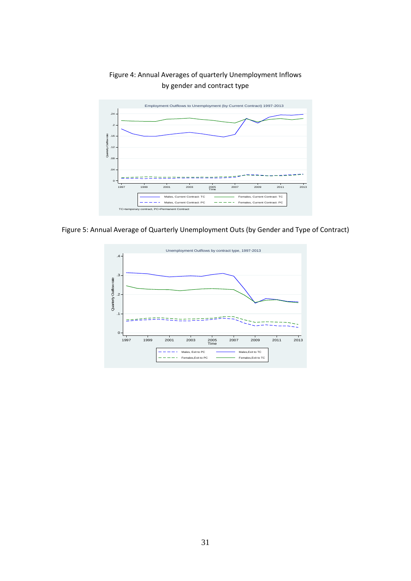



Figure 5: Annual Average of Quarterly Unemployment Outs (by Gender and Type of Contract)

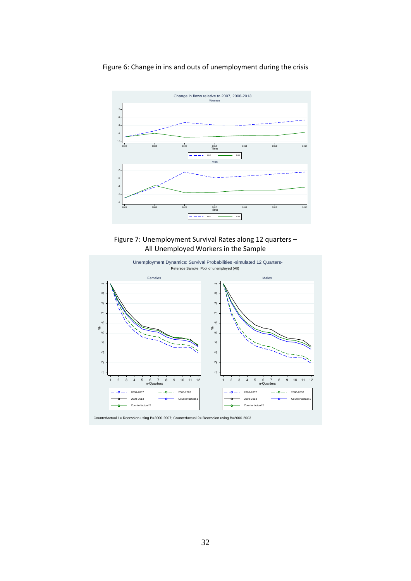Figure 6: Change in ins and outs of unemployment during the crisis



Figure 7: Unemployment Survival Rates along 12 quarters – All Unemployed Workers in the Sample

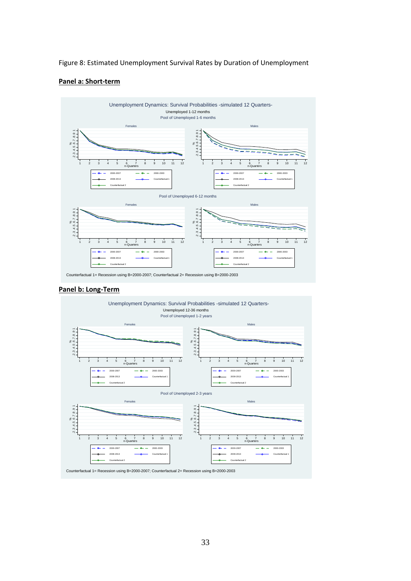#### Figure 8: Estimated Unemployment Survival Rates by Duration of Unemployment

#### **Panel a: Short‐term**



#### **Panel b: Long‐Term**

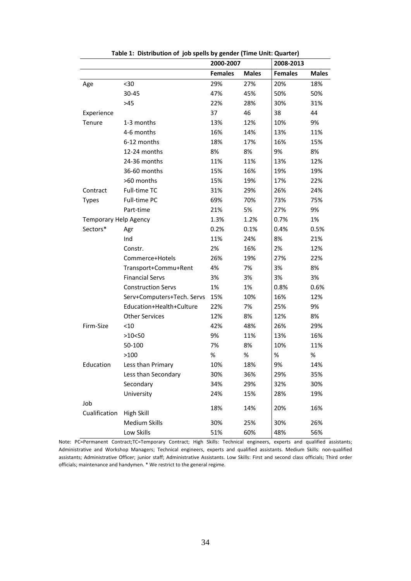|                              |                            | 2000-2007      |              | 2008-2013      |              |
|------------------------------|----------------------------|----------------|--------------|----------------|--------------|
|                              |                            | <b>Females</b> | <b>Males</b> | <b>Females</b> | <b>Males</b> |
| Age                          | $30$                       | 29%            | 27%          | 20%            | 18%          |
|                              | 30-45                      | 47%            | 45%          | 50%            | 50%          |
|                              | $>45$                      | 22%            | 28%          | 30%            | 31%          |
| Experience                   |                            | 37             | 46           | 38             | 44           |
| Tenure                       | 1-3 months                 | 13%            | 12%          | 10%            | 9%           |
|                              | 4-6 months                 | 16%            | 14%          | 13%            | 11%          |
|                              | 6-12 months                | 18%            | 17%          | 16%            | 15%          |
|                              | 12-24 months               | 8%             | 8%           | 9%             | 8%           |
|                              | 24-36 months               | 11%            | 11%          | 13%            | 12%          |
|                              | 36-60 months               | 15%            | 16%          | 19%            | 19%          |
|                              | >60 months                 | 15%            | 19%          | 17%            | 22%          |
| Contract                     | Full-time TC               | 31%            | 29%          | 26%            | 24%          |
| <b>Types</b>                 | Full-time PC               | 69%            | 70%          | 73%            | 75%          |
|                              | Part-time                  | 21%            | 5%           | 27%            | 9%           |
| <b>Temporary Help Agency</b> |                            | 1.3%           | 1.2%         | 0.7%           | 1%           |
| Sectors*                     | Agr                        | 0.2%           | 0.1%         | 0.4%           | 0.5%         |
|                              | Ind                        | 11%            | 24%          | 8%             | 21%          |
|                              | Constr.                    | 2%             | 16%          | 2%             | 12%          |
|                              | Commerce+Hotels            | 26%            | 19%          | 27%            | 22%          |
|                              | Transport+Commu+Rent       | 4%             | 7%           | 3%             | 8%           |
|                              | <b>Financial Servs</b>     | 3%             | 3%           | 3%             | 3%           |
|                              | <b>Construction Servs</b>  | 1%             | 1%           | 0.8%           | 0.6%         |
|                              | Serv+Computers+Tech. Servs | 15%            | 10%          | 16%            | 12%          |
|                              | Education+Health+Culture   | 22%            | 7%           | 25%            | 9%           |
|                              | <b>Other Services</b>      | 12%            | 8%           | 12%            | 8%           |
| Firm-Size                    | < 10                       | 42%            | 48%          | 26%            | 29%          |
|                              | >10<50                     | 9%             | 11%          | 13%            | 16%          |
|                              | 50-100                     | 7%             | 8%           | 10%            | 11%          |
|                              | >100                       | $\%$           | $\%$         | %              | $\%$         |
| Education                    | Less than Primary          | 10%            | 18%          | 9%             | 14%          |
|                              | Less than Secondary        | 30%            | 36%          | 29%            | 35%          |
|                              | Secondary                  | 34%            | 29%          | 32%            | 30%          |
|                              | University                 | 24%            | 15%          | 28%            | 19%          |
| Job                          |                            | 18%            |              | 20%            | 16%          |
| Cualification                | <b>High Skill</b>          |                | 14%          |                |              |
|                              | <b>Medium Skills</b>       | 30%            | 25%          | 30%            | 26%          |
|                              | Low Skills                 | 51%            | 60%          | 48%            | 56%          |

**Table 1: Distribution of job spells by gender (Time Unit: Quarter)**

Note: PC=Permanent Contract;TC=Temporary Contract; High Skills: Technical engineers, experts and qualified assistants; Administrative and Workshop Managers; Technical engineers, experts and qualified assistants. Medium Skills: non‐qualified assistants; Administrative Officer; junior staff; Administrative Assistants. Low Skills: First and second class officials; Third order officials; maintenance and handymen. \* We restrict to the general regime.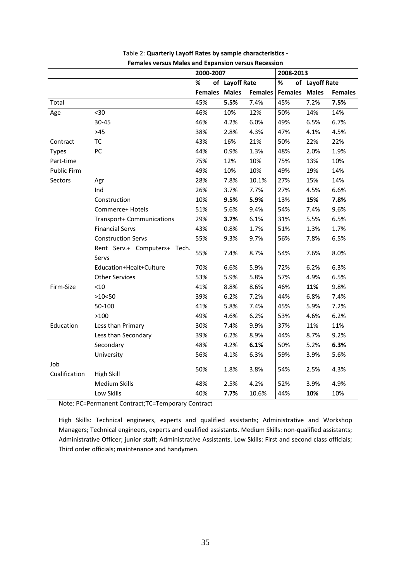|                    |                                       | 2000-2007            |                |                | 2008-2013            |      |                |
|--------------------|---------------------------------------|----------------------|----------------|----------------|----------------------|------|----------------|
|                    |                                       | %                    | of Layoff Rate |                | %<br>of Layoff Rate  |      |                |
|                    |                                       | <b>Females Males</b> |                | <b>Females</b> | <b>Females Males</b> |      | <b>Females</b> |
| Total              |                                       | 45%                  | 5.5%           | 7.4%           | 45%                  | 7.2% | 7.5%           |
| Age                | $30$                                  | 46%                  | 10%            | 12%            | 50%                  | 14%  | 14%            |
|                    | 30-45                                 | 46%                  | 4.2%           | 6.0%           | 49%                  | 6.5% | 6.7%           |
|                    | $>45$                                 | 38%                  | 2.8%           | 4.3%           | 47%                  | 4.1% | 4.5%           |
| Contract           | ТC                                    | 43%                  | 16%            | 21%            | 50%                  | 22%  | 22%            |
| <b>Types</b>       | PC                                    | 44%                  | 0.9%           | 1.3%           | 48%                  | 2.0% | 1.9%           |
| Part-time          |                                       | 75%                  | 12%            | 10%            | 75%                  | 13%  | 10%            |
| <b>Public Firm</b> |                                       | 49%                  | 10%            | 10%            | 49%                  | 19%  | 14%            |
| Sectors            | Agr                                   | 28%                  | 7.8%           | 10.1%          | 27%                  | 15%  | 14%            |
|                    | Ind                                   | 26%                  | 3.7%           | 7.7%           | 27%                  | 4.5% | 6.6%           |
|                    | Construction                          | 10%                  | 9.5%           | 5.9%           | 13%                  | 15%  | 7.8%           |
|                    | Commerce+ Hotels                      | 51%                  | 5.6%           | 9.4%           | 54%                  | 7.4% | 9.6%           |
|                    | Transport+ Communications             | 29%                  | 3.7%           | 6.1%           | 31%                  | 5.5% | 6.5%           |
|                    | <b>Financial Servs</b>                | 43%                  | 0.8%           | 1.7%           | 51%                  | 1.3% | 1.7%           |
|                    | <b>Construction Servs</b>             | 55%                  | 9.3%           | 9.7%           | 56%                  | 7.8% | 6.5%           |
|                    | Rent Serv.+ Computers+ Tech.<br>Servs | 55%                  | 7.4%           | 8.7%           | 54%                  | 7.6% | 8.0%           |
|                    | Education+Healt+Culture               | 70%                  | 6.6%           | 5.9%           | 72%                  | 6.2% | 6.3%           |
|                    | <b>Other Services</b>                 | 53%                  | 5.9%           | 5.8%           | 57%                  | 4.9% | 6.5%           |
| Firm-Size          | < 10                                  | 41%                  | 8.8%           | 8.6%           | 46%                  | 11%  | 9.8%           |
|                    | >10<50                                | 39%                  | 6.2%           | 7.2%           | 44%                  | 6.8% | 7.4%           |
|                    | 50-100                                | 41%                  | 5.8%           | 7.4%           | 45%                  | 5.9% | 7.2%           |
|                    | >100                                  | 49%                  | 4.6%           | 6.2%           | 53%                  | 4.6% | 6.2%           |
| Education          | Less than Primary                     | 30%                  | 7.4%           | 9.9%           | 37%                  | 11%  | 11%            |
|                    | Less than Secondary                   | 39%                  | 6.2%           | 8.9%           | 44%                  | 8.7% | 9.2%           |
|                    | Secondary                             | 48%                  | 4.2%           | 6.1%           | 50%                  | 5.2% | 6.3%           |
|                    | University                            | 56%                  | 4.1%           | 6.3%           | 59%                  | 3.9% | 5.6%           |
| Job                |                                       |                      |                |                |                      |      |                |
| Cualification      | <b>High Skill</b>                     | 50%                  | 1.8%           | 3.8%           | 54%                  | 2.5% | 4.3%           |
|                    | <b>Medium Skills</b>                  | 48%                  | 2.5%           | 4.2%           | 52%                  | 3.9% | 4.9%           |
|                    | Low Skills                            | 40%                  | 7.7%           | 10.6%          | 44%                  | 10%  | 10%            |

| Table 2: Quarterly Layoff Rates by sample characteristics - |
|-------------------------------------------------------------|
| <b>Females versus Males and Expansion versus Recession</b>  |

Note: PC=Permanent Contract;TC=Temporary Contract

High Skills: Technical engineers, experts and qualified assistants; Administrative and Workshop Managers; Technical engineers, experts and qualified assistants. Medium Skills: non‐qualified assistants; Administrative Officer; junior staff; Administrative Assistants. Low Skills: First and second class officials; Third order officials; maintenance and handymen.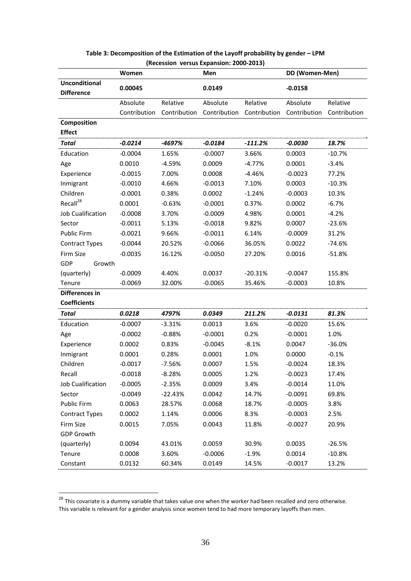|                          | Women        |              | Men          |              | DD (Women-Men) |              |
|--------------------------|--------------|--------------|--------------|--------------|----------------|--------------|
| <b>Unconditional</b>     | 0.00045      |              | 0.0149       |              | $-0.0158$      |              |
| <b>Difference</b>        |              |              |              |              |                |              |
|                          | Absolute     | Relative     | Absolute     | Relative     | Absolute       | Relative     |
|                          | Contribution | Contribution | Contribution | Contribution | Contribution   | Contribution |
| Composition              |              |              |              |              |                |              |
| <b>Effect</b>            |              |              |              |              |                |              |
| <b>Total</b>             | $-0.0214$    | -4697%       | $-0.0184$    | $-111.2%$    | $-0.0030$      | 18.7%        |
| Education                | $-0.0004$    | 1.65%        | $-0.0007$    | 3.66%        | 0.0003         | $-10.7%$     |
| Age                      | 0.0010       | $-4.59%$     | 0.0009       | $-4.77%$     | 0.0001         | $-3.4%$      |
| Experience               | $-0.0015$    | 7.00%        | 0.0008       | $-4.46%$     | $-0.0023$      | 77.2%        |
| Inmigrant                | $-0.0010$    | 4.66%        | $-0.0013$    | 7.10%        | 0.0003         | $-10.3%$     |
| Children                 | $-0.0001$    | 0.38%        | 0.0002       | $-1.24%$     | $-0.0003$      | 10.3%        |
| Recall <sup>28</sup>     | 0.0001       | $-0.63%$     | $-0.0001$    | 0.37%        | 0.0002         | $-6.7%$      |
| <b>Job Cualification</b> | $-0.0008$    | 3.70%        | $-0.0009$    | 4.98%        | 0.0001         | $-4.2%$      |
| Sector                   | $-0.0011$    | 5.13%        | $-0.0018$    | 9.82%        | 0.0007         | $-23.6%$     |
| Public Firm              | $-0.0021$    | 9.66%        | $-0.0011$    | 6.14%        | $-0.0009$      | 31.2%        |
| <b>Contract Types</b>    | $-0.0044$    | 20.52%       | $-0.0066$    | 36.05%       | 0.0022         | $-74.6%$     |
| Firm Size                | $-0.0035$    | 16.12%       | $-0.0050$    | 27.20%       | 0.0016         | $-51.8%$     |
| GDP<br>Growth            |              |              |              |              |                |              |
| (quarterly)              | $-0.0009$    | 4.40%        | 0.0037       | $-20.31%$    | $-0.0047$      | 155.8%       |
| Tenure                   | $-0.0069$    | 32.00%       | $-0.0065$    | 35.46%       | $-0.0003$      | 10.8%        |
| Differences in           |              |              |              |              |                |              |
| <b>Coefficients</b>      |              |              |              |              |                |              |
| Total                    | 0.0218       | 4797%        | 0.0349       | 211.2%       | $-0.0131$      | 81.3%        |
| Education                | $-0.0007$    | $-3.31%$     | 0.0013       | 3.6%         | $-0.0020$      | 15.6%        |
| Age                      | $-0.0002$    | $-0.88%$     | $-0.0001$    | 0.2%         | $-0.0001$      | 1.0%         |
| Experience               | 0.0002       | 0.83%        | $-0.0045$    | $-8.1%$      | 0.0047         | $-36.0%$     |
| Inmigrant                | 0.0001       | 0.28%        | 0.0001       | 1.0%         | 0.0000         | $-0.1%$      |
| Children                 | $-0.0017$    | $-7.56%$     | 0.0007       | 1.5%         | $-0.0024$      | 18.3%        |
| Recall                   | $-0.0018$    | $-8.28%$     | 0.0005       | 1.2%         | $-0.0023$      | 17.4%        |
| Job Cualification        | $-0.0005$    | $-2.35%$     | 0.0009       | 3.4%         | $-0.0014$      | 11.0%        |
| Sector                   | $-0.0049$    | $-22.43%$    | 0.0042       | 14.7%        | $-0.0091$      | 69.8%        |
| Public Firm              | 0.0063       | 28.57%       | 0.0068       | 18.7%        | $-0.0005$      | 3.8%         |
| <b>Contract Types</b>    | 0.0002       | 1.14%        | 0.0006       | 8.3%         | $-0.0003$      | 2.5%         |
| Firm Size                | 0.0015       | 7.05%        | 0.0043       | 11.8%        | $-0.0027$      | 20.9%        |
| <b>GDP Growth</b>        |              |              |              |              |                |              |
| (quarterly)              | 0.0094       | 43.01%       | 0.0059       | 30.9%        | 0.0035         | $-26.5%$     |
| Tenure                   | 0.0008       | 3.60%        | $-0.0006$    | $-1.9%$      | 0.0014         | $-10.8%$     |
| Constant                 | 0.0132       | 60.34%       | 0.0149       | 14.5%        | $-0.0017$      | 13.2%        |

#### **Table 3: Decomposition of the Estimation of the Layoff probability by gender – LPM (Recession versus Expansion: 2000‐2013)**

<u>.</u>

 $^{28}$  This covariate is a dummy variable that takes value one when the worker had been recalled and zero otherwise. This variable is relevant for a gender analysis since women tend to had more temporary layoffs than men.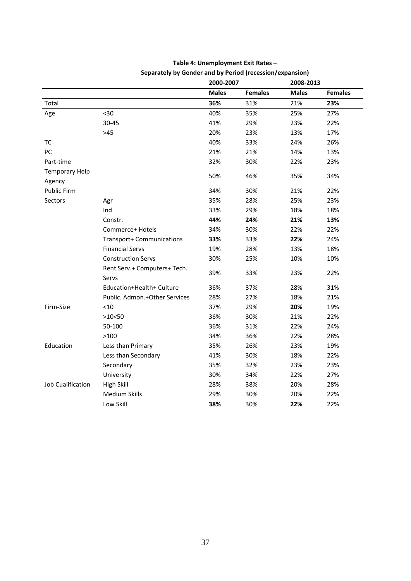|                                 | Separately by Gender and by Period (recession/expansion) |              |                |              |                |  |
|---------------------------------|----------------------------------------------------------|--------------|----------------|--------------|----------------|--|
|                                 |                                                          | 2000-2007    |                | 2008-2013    |                |  |
|                                 |                                                          | <b>Males</b> | <b>Females</b> | <b>Males</b> | <b>Females</b> |  |
| Total                           |                                                          | 36%          | 31%            | 21%          | 23%            |  |
| Age                             | $30$                                                     | 40%          | 35%            | 25%          | 27%            |  |
|                                 | $30 - 45$                                                | 41%          | 29%            | 23%          | 22%            |  |
|                                 | $>45$                                                    | 20%          | 23%            | 13%          | 17%            |  |
| <b>TC</b>                       |                                                          | 40%          | 33%            | 24%          | 26%            |  |
| PC                              |                                                          | 21%          | 21%            | 14%          | 13%            |  |
| Part-time                       |                                                          | 32%          | 30%            | 22%          | 23%            |  |
| <b>Temporary Help</b><br>Agency |                                                          | 50%          | 46%            | 35%          | 34%            |  |
| Public Firm                     |                                                          | 34%          | 30%            | 21%          | 22%            |  |
| Sectors                         | Agr                                                      | 35%          | 28%            | 25%          | 23%            |  |
|                                 | Ind                                                      | 33%          | 29%            | 18%          | 18%            |  |
|                                 | Constr.                                                  | 44%          | 24%            | 21%          | 13%            |  |
|                                 | Commerce+ Hotels                                         | 34%          | 30%            | 22%          | 22%            |  |
|                                 | Transport+ Communications                                | 33%          | 33%            | 22%          | 24%            |  |
|                                 | <b>Financial Servs</b>                                   | 19%          | 28%            | 13%          | 18%            |  |
|                                 | <b>Construction Servs</b>                                | 30%          | 25%            | 10%          | 10%            |  |
|                                 | Rent Serv.+ Computers+ Tech.<br>Servs                    | 39%          | 33%            | 23%          | 22%            |  |
|                                 | Education+Health+ Culture                                | 36%          | 37%            | 28%          | 31%            |  |
|                                 | Public. Admon.+Other Services                            | 28%          | 27%            | 18%          | 21%            |  |
| Firm-Size                       | $<$ 10                                                   | 37%          | 29%            | 20%          | 19%            |  |
|                                 | >10<50                                                   | 36%          | 30%            | 21%          | 22%            |  |
|                                 | 50-100                                                   | 36%          | 31%            | 22%          | 24%            |  |
|                                 | >100                                                     | 34%          | 36%            | 22%          | 28%            |  |
| Education                       | Less than Primary                                        | 35%          | 26%            | 23%          | 19%            |  |
|                                 | Less than Secondary                                      | 41%          | 30%            | 18%          | 22%            |  |
|                                 | Secondary                                                | 35%          | 32%            | 23%          | 23%            |  |
|                                 | University                                               | 30%          | 34%            | 22%          | 27%            |  |
| <b>Job Cualification</b>        | <b>High Skill</b>                                        | 28%          | 38%            | 20%          | 28%            |  |
|                                 | <b>Medium Skills</b>                                     | 29%          | 30%            | 20%          | 22%            |  |
|                                 | Low Skill                                                | 38%          | 30%            | 22%          | 22%            |  |

#### **Table 4: Unemployment Exit Rates –**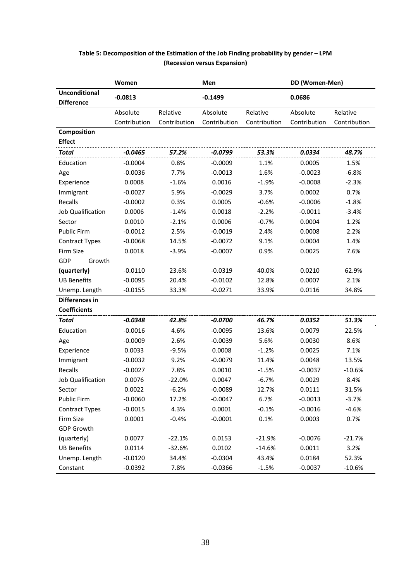|                                           | Women        | Men          |              | DD (Women-Men) |              |              |
|-------------------------------------------|--------------|--------------|--------------|----------------|--------------|--------------|
| <b>Unconditional</b><br><b>Difference</b> | $-0.0813$    |              | $-0.1499$    |                | 0.0686       |              |
|                                           | Absolute     | Relative     | Absolute     | Relative       | Absolute     | Relative     |
|                                           | Contribution | Contribution | Contribution | Contribution   | Contribution | Contribution |
| Composition                               |              |              |              |                |              |              |
| <b>Effect</b>                             |              |              |              |                |              |              |
| <b>Total</b>                              | $-0.0465$    | 57.2%        | $-0.0799$    | 53.3%          | 0.0334       | 48.7%        |
| Education                                 | $-0.0004$    | 0.8%         | $-0.0009$    | 1.1%           | 0.0005       | 1.5%         |
| Age                                       | $-0.0036$    | 7.7%         | $-0.0013$    | 1.6%           | $-0.0023$    | $-6.8%$      |
| Experience                                | 0.0008       | $-1.6%$      | 0.0016       | $-1.9%$        | $-0.0008$    | $-2.3%$      |
| Immigrant                                 | $-0.0027$    | 5.9%         | $-0.0029$    | 3.7%           | 0.0002       | 0.7%         |
| Recalls                                   | $-0.0002$    | 0.3%         | 0.0005       | $-0.6%$        | $-0.0006$    | $-1.8%$      |
| <b>Job Qualification</b>                  | 0.0006       | $-1.4%$      | 0.0018       | $-2.2%$        | $-0.0011$    | $-3.4%$      |
| Sector                                    | 0.0010       | $-2.1%$      | 0.0006       | $-0.7%$        | 0.0004       | 1.2%         |
| Public Firm                               | $-0.0012$    | 2.5%         | $-0.0019$    | 2.4%           | 0.0008       | 2.2%         |
| <b>Contract Types</b>                     | $-0.0068$    | 14.5%        | $-0.0072$    | 9.1%           | 0.0004       | 1.4%         |
| Firm Size                                 | 0.0018       | $-3.9%$      | $-0.0007$    | 0.9%           | 0.0025       | 7.6%         |
| GDP<br>Growth                             |              |              |              |                |              |              |
| (quarterly)                               | $-0.0110$    | 23.6%        | $-0.0319$    | 40.0%          | 0.0210       | 62.9%        |
| <b>UB Benefits</b>                        | $-0.0095$    | 20.4%        | $-0.0102$    | 12.8%          | 0.0007       | 2.1%         |
| Unemp. Length                             | $-0.0155$    | 33.3%        | $-0.0271$    | 33.9%          | 0.0116       | 34.8%        |
| Differences in                            |              |              |              |                |              |              |
| <b>Coefficients</b>                       |              |              |              |                |              |              |
| <b>Total</b>                              | $-0.0348$    | 42.8%        | $-0.0700$    | 46.7%          | 0.0352       | 51.3%        |
| Education                                 | $-0.0016$    | 4.6%         | $-0.0095$    | 13.6%          | 0.0079       | 22.5%        |
| Age                                       | $-0.0009$    | 2.6%         | $-0.0039$    | 5.6%           | 0.0030       | 8.6%         |
| Experience                                | 0.0033       | $-9.5%$      | 0.0008       | $-1.2%$        | 0.0025       | 7.1%         |
| Immigrant                                 | $-0.0032$    | 9.2%         | $-0.0079$    | 11.4%          | 0.0048       | 13.5%        |
| Recalls                                   | $-0.0027$    | 7.8%         | 0.0010       | $-1.5%$        | $-0.0037$    | $-10.6%$     |
| Job Qualification                         | 0.0076       | $-22.0%$     | 0.0047       | $-6.7%$        | 0.0029       | 8.4%         |
| Sector                                    | 0.0022       | $-6.2%$      | $-0.0089$    | 12.7%          | 0.0111       | 31.5%        |
| Public Firm                               | $-0.0060$    | 17.2%        | $-0.0047$    | 6.7%           | $-0.0013$    | $-3.7%$      |
| <b>Contract Types</b>                     | $-0.0015$    | 4.3%         | 0.0001       | $-0.1%$        | $-0.0016$    | $-4.6%$      |
| Firm Size                                 | 0.0001       | $-0.4%$      | $-0.0001$    | 0.1%           | 0.0003       | 0.7%         |
| <b>GDP Growth</b>                         |              |              |              |                |              |              |
| (quarterly)                               | 0.0077       | $-22.1%$     | 0.0153       | $-21.9%$       | $-0.0076$    | $-21.7%$     |
| <b>UB Benefits</b>                        | 0.0114       | $-32.6%$     | 0.0102       | $-14.6%$       | 0.0011       | 3.2%         |
| Unemp. Length                             | $-0.0120$    | 34.4%        | $-0.0304$    | 43.4%          | 0.0184       | 52.3%        |
| Constant                                  | $-0.0392$    | 7.8%         | $-0.0366$    | $-1.5%$        | $-0.0037$    | $-10.6%$     |

### **Table 5: Decomposition of the Estimation of the Job Finding probability by gender – LPM (Recession versus Expansion)**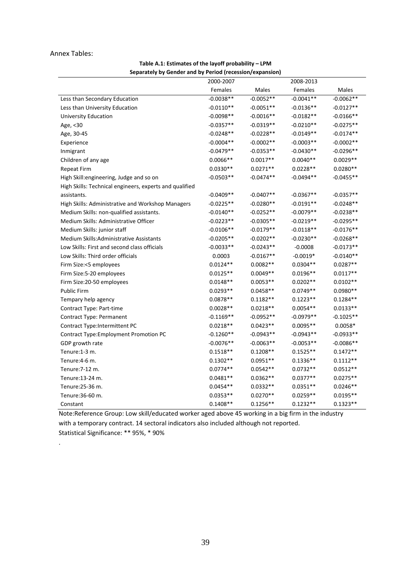#### Annex Tables:

| Table A.1: Estimates of the layoff probability - LPM     |
|----------------------------------------------------------|
| Separately by Gender and by Period (recession/expansion) |

| Separately by Genuer and by Feriod (recession) expansion) | 2000-2007   |             | 2008-2013   |             |
|-----------------------------------------------------------|-------------|-------------|-------------|-------------|
|                                                           |             |             |             |             |
|                                                           | Females     | Males       | Females     | Males       |
| Less than Secondary Education                             | $-0.0038**$ | $-0.0052**$ | $-0.0041**$ | $-0.0062**$ |
| Less than University Education                            | $-0.0110**$ | $-0.0051**$ | $-0.0136**$ | $-0.0127**$ |
| University Education                                      | $-0.0098**$ | $-0.0016**$ | $-0.0182**$ | $-0.0166**$ |
| Age, <30                                                  | $-0.0357**$ | $-0.0319**$ | $-0.0210**$ | $-0.0275**$ |
| Age, 30-45                                                | $-0.0248**$ | $-0.0228**$ | $-0.0149**$ | $-0.0174**$ |
| Experience                                                | $-0.0004**$ | $-0.0002**$ | $-0.0003**$ | $-0.0002**$ |
| Inmigrant                                                 | $-0.0479**$ | $-0.0353**$ | $-0.0430**$ | $-0.0296**$ |
| Children of any age                                       | $0.0066**$  | $0.0017**$  | $0.0040**$  | $0.0029**$  |
| <b>Repeat Firm</b>                                        | $0.0330**$  | $0.0271**$  | $0.0228**$  | $0.0280**$  |
| High Skill: engineering, Judge and so on                  | $-0.0503**$ | $-0.0474**$ | $-0.0494**$ | $-0.0455**$ |
| High Skills: Technical engineers, experts and qualified   |             |             |             |             |
| assistants.                                               | $-0.0409**$ | $-0.0407**$ | $-0.0367**$ | $-0.0357**$ |
| High Skills: Administrative and Workshop Managers         | $-0.0225**$ | $-0.0280**$ | $-0.0191**$ | $-0.0248**$ |
| Medium Skills: non-qualified assistants.                  | $-0.0140**$ | $-0.0252**$ | $-0.0079**$ | $-0.0238**$ |
| Medium Skills: Administrative Officer                     | $-0.0223**$ | $-0.0305**$ | $-0.0219**$ | $-0.0295**$ |
| Medium Skills: junior staff                               | $-0.0106**$ | $-0.0179**$ | $-0.0118**$ | $-0.0176**$ |
| Medium Skills:Administrative Assistants                   | $-0.0205**$ | $-0.0202**$ | $-0.0230**$ | $-0.0268**$ |
| Low Skills: First and second class officials              | $-0.0033**$ | $-0.0243**$ | $-0.0008$   | $-0.0173**$ |
| Low Skills: Third order officials                         | 0.0003      | $-0.0167**$ | $-0.0019*$  | $-0.0140**$ |
| Firm Size:<5 employees                                    | $0.0124**$  | $0.0082**$  | $0.0304**$  | $0.0287**$  |
| Firm Size:5-20 employees                                  | $0.0125**$  | $0.0049**$  | $0.0196**$  | $0.0117**$  |
| Firm Size: 20-50 employees                                | $0.0148**$  | $0.0053**$  | $0.0202**$  | $0.0102**$  |
| <b>Public Firm</b>                                        | $0.0293**$  | $0.0458**$  | $0.0749**$  | $0.0980**$  |
| Tempary help agency                                       | $0.0878**$  | $0.1182**$  | $0.1223**$  | $0.1284**$  |
| Contract Type: Part-time                                  | $0.0028**$  | $0.0218**$  | $0.0054**$  | $0.0133**$  |
| Contract Type: Permanent                                  | $-0.1169**$ | $-0.0952**$ | $-0.0979**$ | $-0.1025**$ |
| Contract Type:Intermittent PC                             | $0.0218**$  | $0.0423**$  | $0.0095**$  | $0.0058*$   |
| Contract Type: Employment Promotion PC                    | $-0.1260**$ | $-0.0943**$ | $-0.0943**$ | $-0.0933**$ |
| GDP growth rate                                           | $-0.0076**$ | $-0.0063**$ | $-0.0053**$ | $-0.0086**$ |
| Tenure:1-3 m.                                             | $0.1518**$  | $0.1208**$  | $0.1525**$  | $0.1472**$  |
| Tenure: 4-6 m.                                            | $0.1302**$  | $0.0951**$  | $0.1336**$  | $0.1112**$  |
| Tenure: 7-12 m.                                           | $0.0774**$  | $0.0542**$  | $0.0732**$  | $0.0512**$  |
| Tenure:13-24 m.                                           | $0.0481**$  | $0.0362**$  | $0.0377**$  | $0.0275**$  |
| Tenure: 25-36 m.                                          | $0.0454**$  | $0.0332**$  | $0.0351**$  | $0.0246**$  |
| Tenure: 36-60 m.                                          | $0.0353**$  | $0.0270**$  | $0.0259**$  | $0.0195**$  |
| Constant                                                  | $0.1408**$  | $0.1256**$  | $0.1232**$  | $0.1323**$  |

Note:Reference Group: Low skill/educated worker aged above 45 working in a big firm in the industry with a temporary contract. 14 sectoral indicators also included although not reported. Statistical Significance: \*\* 95%, \* 90%

.